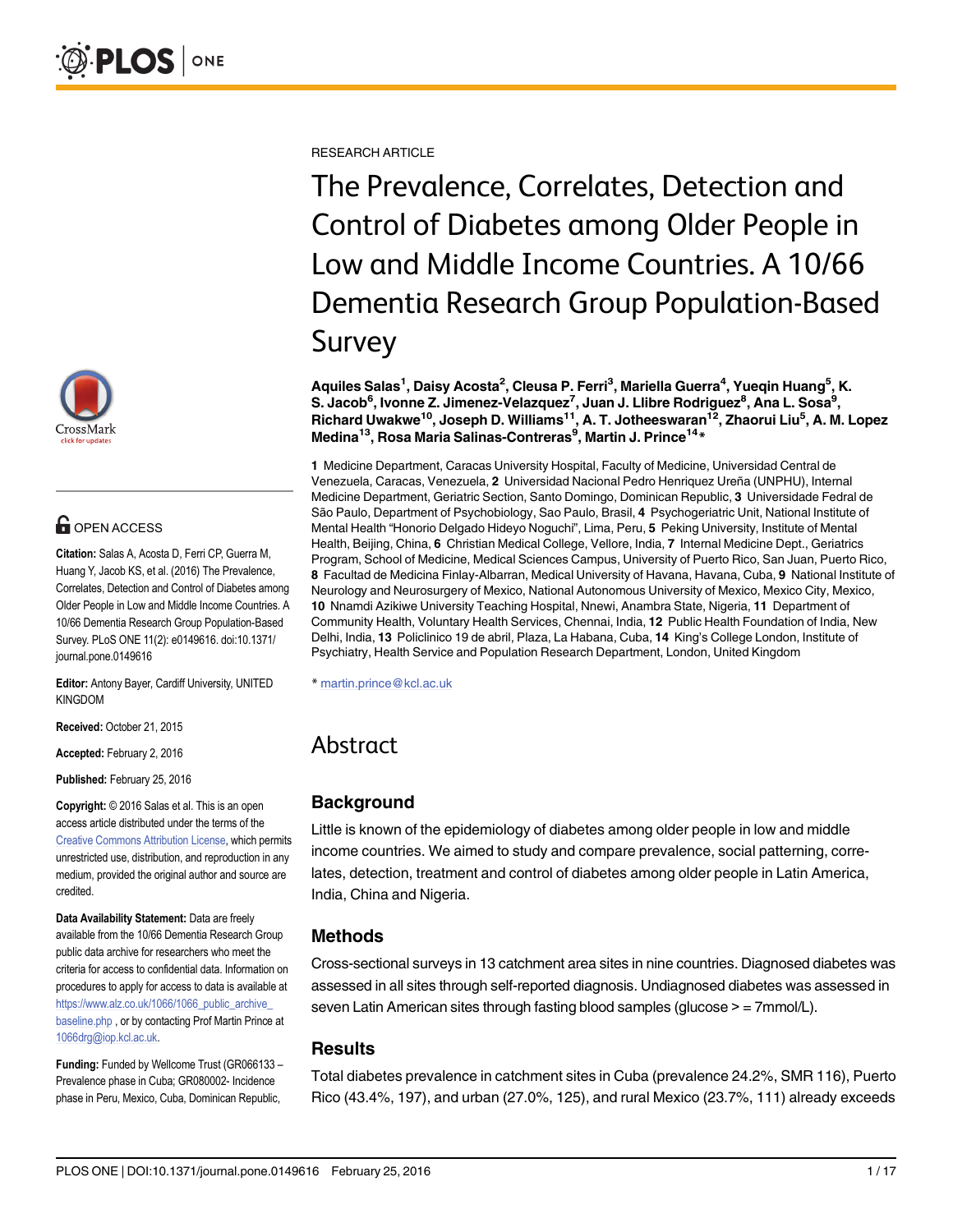

# **G** OPEN ACCESS

Citation: Salas A, Acosta D, Ferri CP, Guerra M, Huang Y, Jacob KS, et al. (2016) The Prevalence, Correlates, Detection and Control of Diabetes among Older People in Low and Middle Income Countries. A 10/66 Dementia Research Group Population-Based Survey. PLoS ONE 11(2): e0149616. doi:10.1371/ journal.pone.0149616

Editor: Antony Bayer, Cardiff University, UNITED KINGDOM

Received: October 21, 2015

Accepted: February 2, 2016

Published: February 25, 2016

Copyright: © 2016 Salas et al. This is an open access article distributed under the terms of the [Creative Commons Attribution License,](http://creativecommons.org/licenses/by/4.0/) which permits unrestricted use, distribution, and reproduction in any medium, provided the original author and source are credited.

Data Availability Statement: Data are freely available from the 10/66 Dementia Research Group public data archive for researchers who meet the criteria for access to confidential data. Information on procedures to apply for access to data is available at [https://www.alz.co.uk/1066/1066\\_public\\_archive\\_](https://www.alz.co.uk/1066/1066_public_archive_baseline.php) [baseline.php](https://www.alz.co.uk/1066/1066_public_archive_baseline.php) , or by contacting Prof Martin Prince at 1066drg@iop.kcl.ac.uk.

Funding: Funded by Wellcome Trust (GR066133 – Prevalence phase in Cuba; GR080002- Incidence phase in Peru, Mexico, Cuba, Dominican Republic,

RESEARCH ARTICLE

The Prevalence, Correlates, Detection and Control of Diabetes among Older People in Low and Middle Income Countries. A 10/66 Dementia Research Group Population-Based Survey

Aquiles Salas<sup>1</sup>, Daisy Acosta<sup>2</sup>, Cleusa P. Ferri<sup>3</sup>, Mariella Guerra<sup>4</sup>, Yueqin Huang<sup>5</sup>, K. S. Jacob<sup>6</sup>, Ivonne Z. Jimenez-Velazquez<sup>7</sup>, Juan J. Llibre Rodriguez<sup>8</sup>, Ana L. Sosa<sup>9</sup>, Richard Uwakwe<sup>10</sup>, Joseph D. Williams<sup>11</sup>, A. T. Jotheeswaran<sup>12</sup>, Zhaorui Liu<sup>5</sup>, A. M. Lopez Medina<sup>13</sup>, Rosa Maria Salinas-Contreras<sup>9</sup>, Martin J. Prince<sup>14\*</sup>

1 Medicine Department, Caracas University Hospital, Faculty of Medicine, Universidad Central de Venezuela, Caracas, Venezuela, 2 Universidad Nacional Pedro Henriquez Ureña (UNPHU), Internal Medicine Department, Geriatric Section, Santo Domingo, Dominican Republic, 3 Universidade Fedral de São Paulo, Department of Psychobiology, Sao Paulo, Brasil, 4 Psychogeriatric Unit, National Institute of Mental Health "Honorio Delgado Hideyo Noguchi", Lima, Peru, 5 Peking University, Institute of Mental Health, Beijing, China, 6 Christian Medical College, Vellore, India, 7 Internal Medicine Dept., Geriatrics Program, School of Medicine, Medical Sciences Campus, University of Puerto Rico, San Juan, Puerto Rico, 8 Facultad de Medicina Finlay-Albarran, Medical University of Havana, Havana, Cuba, 9 National Institute of Neurology and Neurosurgery of Mexico, National Autonomous University of Mexico, Mexico City, Mexico, 10 Nnamdi Azikiwe University Teaching Hospital, Nnewi, Anambra State, Nigeria, 11 Department of Community Health, Voluntary Health Services, Chennai, India, 12 Public Health Foundation of India, New Delhi, India, 13 Policlinico 19 de abril, Plaza, La Habana, Cuba, 14 King's College London, Institute of Psychiatry, Health Service and Population Research Department, London, United Kingdom

\* martin.prince@kcl.ac.uk

# Abstract

# **Background**

Little is known of the epidemiology of diabetes among older people in low and middle income countries. We aimed to study and compare prevalence, social patterning, correlates, detection, treatment and control of diabetes among older people in Latin America, India, China and Nigeria.

# Methods

Cross-sectional surveys in 13 catchment area sites in nine countries. Diagnosed diabetes was assessed in all sites through self-reported diagnosis. Undiagnosed diabetes was assessed in seven Latin American sites through fasting blood samples (glucose > = 7mmol/L).

### **Results**

Total diabetes prevalence in catchment sites in Cuba (prevalence 24.2%, SMR 116), Puerto Rico (43.4%, 197), and urban (27.0%, 125), and rural Mexico (23.7%, 111) already exceeds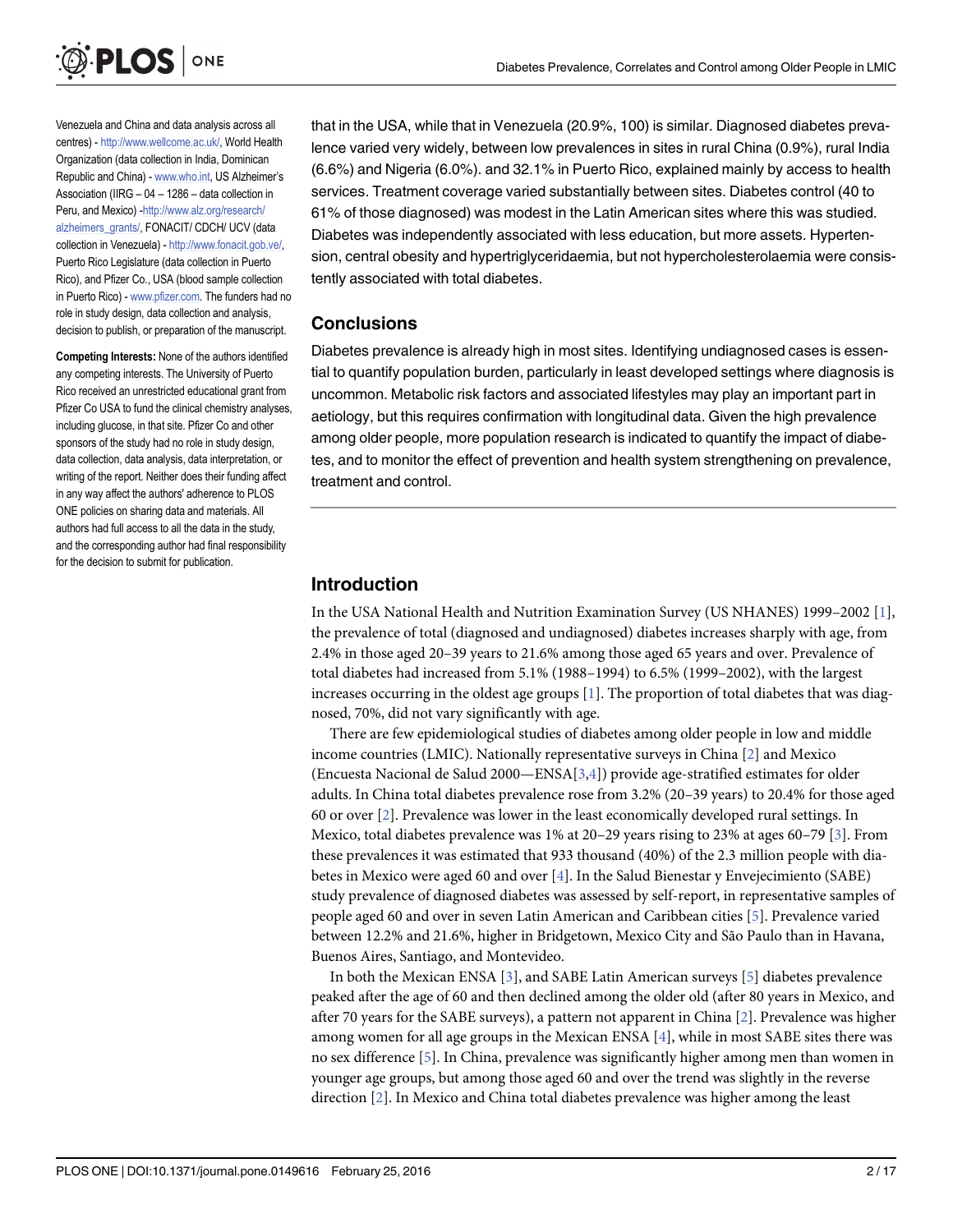<span id="page-1-0"></span>

Venezuela and China and data analysis across all centres) - <http://www.wellcome.ac.uk/>, World Health Organization (data collection in India, Dominican Republic and China) - [www.who.int,](http://www.who.int) US Alzheimer's Association (IIRG – 04 – 1286 – data collection in Peru, and Mexico) -[http://www.alz.org/research/](http://www.alz.org/research/alzheimers_grants/) [alzheimers\\_grants/,](http://www.alz.org/research/alzheimers_grants/) FONACIT/ CDCH/ UCV (data collection in Venezuela) - <http://www.fonacit.gob.ve/>, Puerto Rico Legislature (data collection in Puerto Rico), and Pfizer Co., USA (blood sample collection in Puerto Rico) - [www.pfizer.com](http://www.pfizer.com). The funders had no role in study design, data collection and analysis, decision to publish, or preparation of the manuscript.

Competing Interests: None of the authors identified any competing interests. The University of Puerto Rico received an unrestricted educational grant from Pfizer Co USA to fund the clinical chemistry analyses, including glucose, in that site. Pfizer Co and other sponsors of the study had no role in study design, data collection, data analysis, data interpretation, or writing of the report. Neither does their funding affect in any way affect the authors' adherence to PLOS ONE policies on sharing data and materials. All authors had full access to all the data in the study, and the corresponding author had final responsibility for the decision to submit for publication.

that in the USA, while that in Venezuela (20.9%, 100) is similar. Diagnosed diabetes prevalence varied very widely, between low prevalences in sites in rural China (0.9%), rural India (6.6%) and Nigeria (6.0%). and 32.1% in Puerto Rico, explained mainly by access to health services. Treatment coverage varied substantially between sites. Diabetes control (40 to 61% of those diagnosed) was modest in the Latin American sites where this was studied. Diabetes was independently associated with less education, but more assets. Hypertension, central obesity and hypertriglyceridaemia, but not hypercholesterolaemia were consistently associated with total diabetes.

#### **Conclusions**

Diabetes prevalence is already high in most sites. Identifying undiagnosed cases is essential to quantify population burden, particularly in least developed settings where diagnosis is uncommon. Metabolic risk factors and associated lifestyles may play an important part in aetiology, but this requires confirmation with longitudinal data. Given the high prevalence among older people, more population research is indicated to quantify the impact of diabetes, and to monitor the effect of prevention and health system strengthening on prevalence, treatment and control.

# Introduction

In the USA National Health and Nutrition Examination Survey (US NHANES) 1999–2002 [[1\]](#page-15-0), the prevalence of total (diagnosed and undiagnosed) diabetes increases sharply with age, from 2.4% in those aged 20–39 years to 21.6% among those aged 65 years and over. Prevalence of total diabetes had increased from 5.1% (1988–1994) to 6.5% (1999–2002), with the largest increases occurring in the oldest age groups [[1\]](#page-15-0). The proportion of total diabetes that was diagnosed, 70%, did not vary significantly with age.

There are few epidemiological studies of diabetes among older people in low and middle income countries (LMIC). Nationally representative surveys in China [\[2\]](#page-15-0) and Mexico (Encuesta Nacional de Salud 2000—ENSA[[3](#page-15-0),[4](#page-15-0)]) provide age-stratified estimates for older adults. In China total diabetes prevalence rose from 3.2% (20–39 years) to 20.4% for those aged 60 or over [[2](#page-15-0)]. Prevalence was lower in the least economically developed rural settings. In Mexico, total diabetes prevalence was 1% at 20–29 years rising to 23% at ages 60–79 [\[3\]](#page-15-0). From these prevalences it was estimated that 933 thousand (40%) of the 2.3 million people with diabetes in Mexico were aged 60 and over [[4\]](#page-15-0). In the Salud Bienestar y Envejecimiento (SABE) study prevalence of diagnosed diabetes was assessed by self-report, in representative samples of people aged 60 and over in seven Latin American and Caribbean cities [\[5\]](#page-15-0). Prevalence varied between 12.2% and 21.6%, higher in Bridgetown, Mexico City and São Paulo than in Havana, Buenos Aires, Santiago, and Montevideo.

In both the Mexican ENSA  $[3]$  $[3]$ , and SABE Latin American surveys  $[5]$  $[5]$  diabetes prevalence peaked after the age of 60 and then declined among the older old (after 80 years in Mexico, and after 70 years for the SABE surveys), a pattern not apparent in China [[2\]](#page-15-0). Prevalence was higher among women for all age groups in the Mexican ENSA [\[4](#page-15-0)], while in most SABE sites there was no sex difference [\[5](#page-15-0)]. In China, prevalence was significantly higher among men than women in younger age groups, but among those aged 60 and over the trend was slightly in the reverse direction [[2](#page-15-0)]. In Mexico and China total diabetes prevalence was higher among the least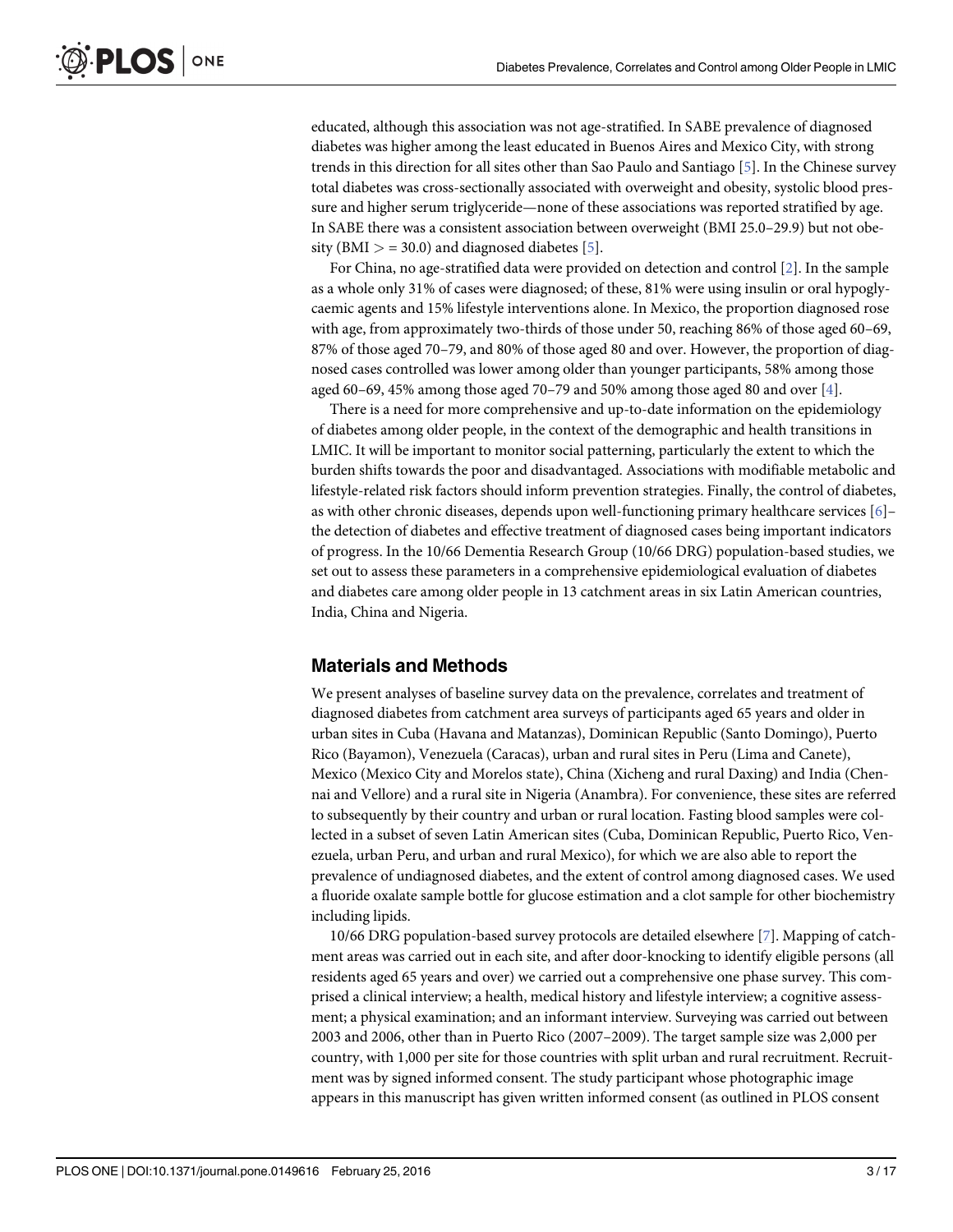<span id="page-2-0"></span>educated, although this association was not age-stratified. In SABE prevalence of diagnosed diabetes was higher among the least educated in Buenos Aires and Mexico City, with strong trends in this direction for all sites other than Sao Paulo and Santiago [\[5\]](#page-15-0). In the Chinese survey total diabetes was cross-sectionally associated with overweight and obesity, systolic blood pressure and higher serum triglyceride—none of these associations was reported stratified by age. In SABE there was a consistent association between overweight (BMI 25.0–29.9) but not obesity (BMI  $>$  = 30.0) and diagnosed diabetes [ $\overline{5}$ ].

For China, no age-stratified data were provided on detection and control [[2\]](#page-15-0). In the sample as a whole only 31% of cases were diagnosed; of these, 81% were using insulin or oral hypoglycaemic agents and 15% lifestyle interventions alone. In Mexico, the proportion diagnosed rose with age, from approximately two-thirds of those under 50, reaching 86% of those aged 60–69, 87% of those aged 70–79, and 80% of those aged 80 and over. However, the proportion of diagnosed cases controlled was lower among older than younger participants, 58% among those aged 60–69, 45% among those aged 70–79 and 50% among those aged 80 and over  $[4]$  $[4]$ .

There is a need for more comprehensive and up-to-date information on the epidemiology of diabetes among older people, in the context of the demographic and health transitions in LMIC. It will be important to monitor social patterning, particularly the extent to which the burden shifts towards the poor and disadvantaged. Associations with modifiable metabolic and lifestyle-related risk factors should inform prevention strategies. Finally, the control of diabetes, as with other chronic diseases, depends upon well-functioning primary healthcare services [\[6](#page-15-0)]– the detection of diabetes and effective treatment of diagnosed cases being important indicators of progress. In the 10/66 Dementia Research Group (10/66 DRG) population-based studies, we set out to assess these parameters in a comprehensive epidemiological evaluation of diabetes and diabetes care among older people in 13 catchment areas in six Latin American countries, India, China and Nigeria.

#### Materials and Methods

We present analyses of baseline survey data on the prevalence, correlates and treatment of diagnosed diabetes from catchment area surveys of participants aged 65 years and older in urban sites in Cuba (Havana and Matanzas), Dominican Republic (Santo Domingo), Puerto Rico (Bayamon), Venezuela (Caracas), urban and rural sites in Peru (Lima and Canete), Mexico (Mexico City and Morelos state), China (Xicheng and rural Daxing) and India (Chennai and Vellore) and a rural site in Nigeria (Anambra). For convenience, these sites are referred to subsequently by their country and urban or rural location. Fasting blood samples were collected in a subset of seven Latin American sites (Cuba, Dominican Republic, Puerto Rico, Venezuela, urban Peru, and urban and rural Mexico), for which we are also able to report the prevalence of undiagnosed diabetes, and the extent of control among diagnosed cases. We used a fluoride oxalate sample bottle for glucose estimation and a clot sample for other biochemistry including lipids.

10/66 DRG population-based survey protocols are detailed elsewhere [\[7](#page-15-0)]. Mapping of catchment areas was carried out in each site, and after door-knocking to identify eligible persons (all residents aged 65 years and over) we carried out a comprehensive one phase survey. This comprised a clinical interview; a health, medical history and lifestyle interview; a cognitive assessment; a physical examination; and an informant interview. Surveying was carried out between 2003 and 2006, other than in Puerto Rico (2007–2009). The target sample size was 2,000 per country, with 1,000 per site for those countries with split urban and rural recruitment. Recruitment was by signed informed consent. The study participant whose photographic image appears in this manuscript has given written informed consent (as outlined in PLOS consent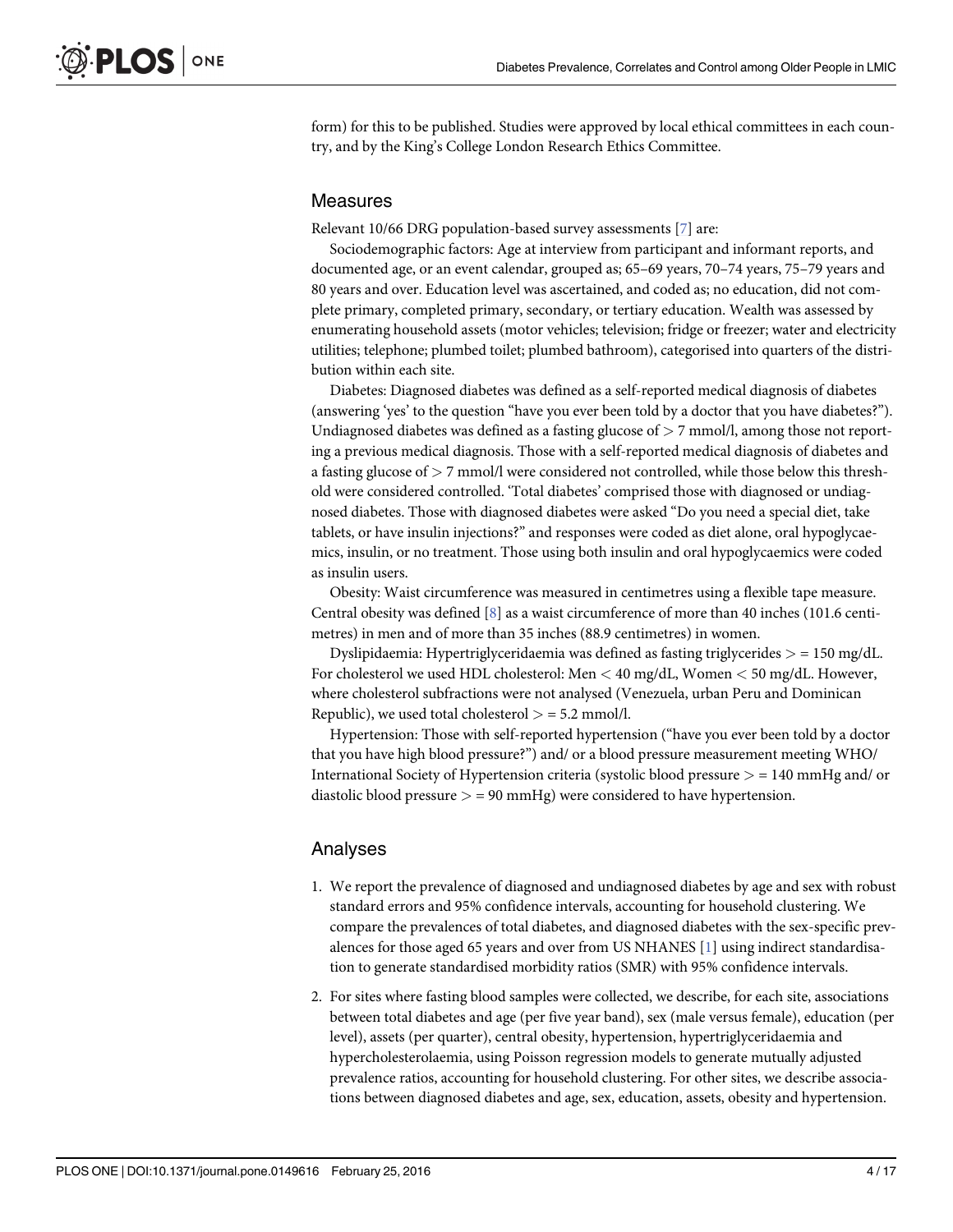<span id="page-3-0"></span>form) for this to be published. Studies were approved by local ethical committees in each country, and by the King's College London Research Ethics Committee.

#### Measures

Relevant 10/66 DRG population-based survey assessments [[7\]](#page-15-0) are:

Sociodemographic factors: Age at interview from participant and informant reports, and documented age, or an event calendar, grouped as; 65–69 years, 70–74 years, 75–79 years and 80 years and over. Education level was ascertained, and coded as; no education, did not complete primary, completed primary, secondary, or tertiary education. Wealth was assessed by enumerating household assets (motor vehicles; television; fridge or freezer; water and electricity utilities; telephone; plumbed toilet; plumbed bathroom), categorised into quarters of the distribution within each site.

Diabetes: Diagnosed diabetes was defined as a self-reported medical diagnosis of diabetes (answering 'yes' to the question "have you ever been told by a doctor that you have diabetes?"). Undiagnosed diabetes was defined as a fasting glucose of  $> 7$  mmol/l, among those not reporting a previous medical diagnosis. Those with a self-reported medical diagnosis of diabetes and a fasting glucose of > 7 mmol/l were considered not controlled, while those below this threshold were considered controlled. 'Total diabetes' comprised those with diagnosed or undiagnosed diabetes. Those with diagnosed diabetes were asked "Do you need a special diet, take tablets, or have insulin injections?" and responses were coded as diet alone, oral hypoglycaemics, insulin, or no treatment. Those using both insulin and oral hypoglycaemics were coded as insulin users.

Obesity: Waist circumference was measured in centimetres using a flexible tape measure. Central obesity was defined [[8](#page-15-0)] as a waist circumference of more than 40 inches (101.6 centimetres) in men and of more than 35 inches (88.9 centimetres) in women.

Dyslipidaemia: Hypertriglyceridaemia was defined as fasting triglycerides  $>$  = 150 mg/dL. For cholesterol we used HDL cholesterol: Men < 40 mg/dL, Women < 50 mg/dL. However, where cholesterol subfractions were not analysed (Venezuela, urban Peru and Dominican Republic), we used total cholesterol  $>$  = 5.2 mmol/l.

Hypertension: Those with self-reported hypertension ("have you ever been told by a doctor that you have high blood pressure?") and/ or a blood pressure measurement meeting WHO/ International Society of Hypertension criteria (systolic blood pressure > = 140 mmHg and/ or diastolic blood pressure  $>$  = 90 mmHg) were considered to have hypertension.

#### Analyses

- 1. We report the prevalence of diagnosed and undiagnosed diabetes by age and sex with robust standard errors and 95% confidence intervals, accounting for household clustering. We compare the prevalences of total diabetes, and diagnosed diabetes with the sex-specific prevalences for those aged 65 years and over from US NHANES  $[1]$  $[1]$  using indirect standardisation to generate standardised morbidity ratios (SMR) with 95% confidence intervals.
- 2. For sites where fasting blood samples were collected, we describe, for each site, associations between total diabetes and age (per five year band), sex (male versus female), education (per level), assets (per quarter), central obesity, hypertension, hypertriglyceridaemia and hypercholesterolaemia, using Poisson regression models to generate mutually adjusted prevalence ratios, accounting for household clustering. For other sites, we describe associations between diagnosed diabetes and age, sex, education, assets, obesity and hypertension.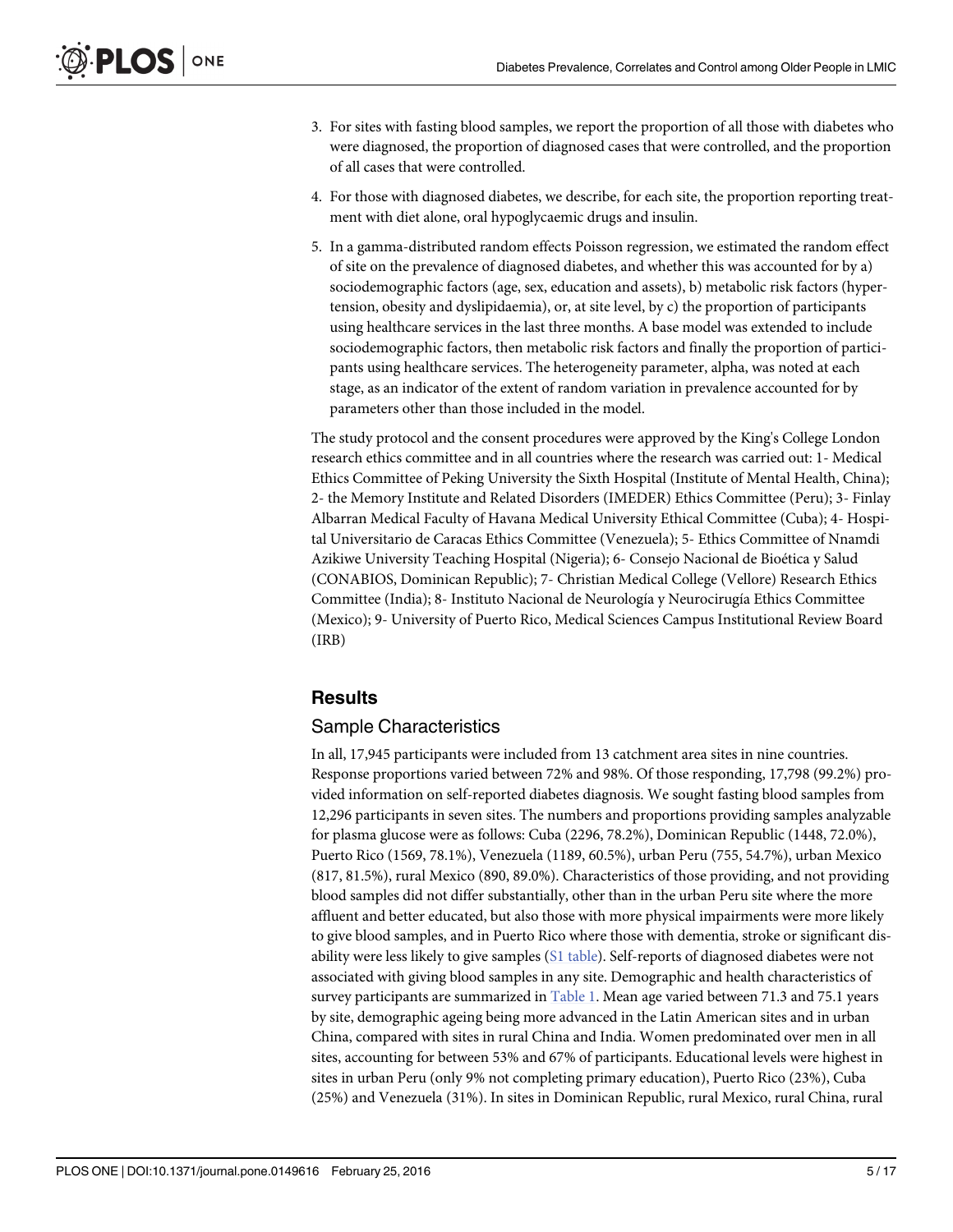- <span id="page-4-0"></span>3. For sites with fasting blood samples, we report the proportion of all those with diabetes who were diagnosed, the proportion of diagnosed cases that were controlled, and the proportion of all cases that were controlled.
- 4. For those with diagnosed diabetes, we describe, for each site, the proportion reporting treatment with diet alone, oral hypoglycaemic drugs and insulin.
- 5. In a gamma-distributed random effects Poisson regression, we estimated the random effect of site on the prevalence of diagnosed diabetes, and whether this was accounted for by a) sociodemographic factors (age, sex, education and assets), b) metabolic risk factors (hypertension, obesity and dyslipidaemia), or, at site level, by c) the proportion of participants using healthcare services in the last three months. A base model was extended to include sociodemographic factors, then metabolic risk factors and finally the proportion of participants using healthcare services. The heterogeneity parameter, alpha, was noted at each stage, as an indicator of the extent of random variation in prevalence accounted for by parameters other than those included in the model.

The study protocol and the consent procedures were approved by the King's College London research ethics committee and in all countries where the research was carried out: 1- Medical Ethics Committee of Peking University the Sixth Hospital (Institute of Mental Health, China); 2- the Memory Institute and Related Disorders (IMEDER) Ethics Committee (Peru); 3- Finlay Albarran Medical Faculty of Havana Medical University Ethical Committee (Cuba); 4- Hospital Universitario de Caracas Ethics Committee (Venezuela); 5- Ethics Committee of Nnamdi Azikiwe University Teaching Hospital (Nigeria); 6- Consejo Nacional de Bioética y Salud (CONABIOS, Dominican Republic); 7- Christian Medical College (Vellore) Research Ethics Committee (India); 8- Instituto Nacional de Neurología y Neurocirugía Ethics Committee (Mexico); 9- University of Puerto Rico, Medical Sciences Campus Institutional Review Board (IRB)

### **Results**

### Sample Characteristics

In all, 17,945 participants were included from 13 catchment area sites in nine countries. Response proportions varied between 72% and 98%. Of those responding, 17,798 (99.2%) provided information on self-reported diabetes diagnosis. We sought fasting blood samples from 12,296 participants in seven sites. The numbers and proportions providing samples analyzable for plasma glucose were as follows: Cuba (2296, 78.2%), Dominican Republic (1448, 72.0%), Puerto Rico (1569, 78.1%), Venezuela (1189, 60.5%), urban Peru (755, 54.7%), urban Mexico (817, 81.5%), rural Mexico (890, 89.0%). Characteristics of those providing, and not providing blood samples did not differ substantially, other than in the urban Peru site where the more affluent and better educated, but also those with more physical impairments were more likely to give blood samples, and in Puerto Rico where those with dementia, stroke or significant disability were less likely to give samples [\(S1 table\)](#page-15-0). Self-reports of diagnosed diabetes were not associated with giving blood samples in any site. Demographic and health characteristics of survey participants are summarized in [Table 1.](#page-5-0) Mean age varied between 71.3 and 75.1 years by site, demographic ageing being more advanced in the Latin American sites and in urban China, compared with sites in rural China and India. Women predominated over men in all sites, accounting for between 53% and 67% of participants. Educational levels were highest in sites in urban Peru (only 9% not completing primary education), Puerto Rico (23%), Cuba (25%) and Venezuela (31%). In sites in Dominican Republic, rural Mexico, rural China, rural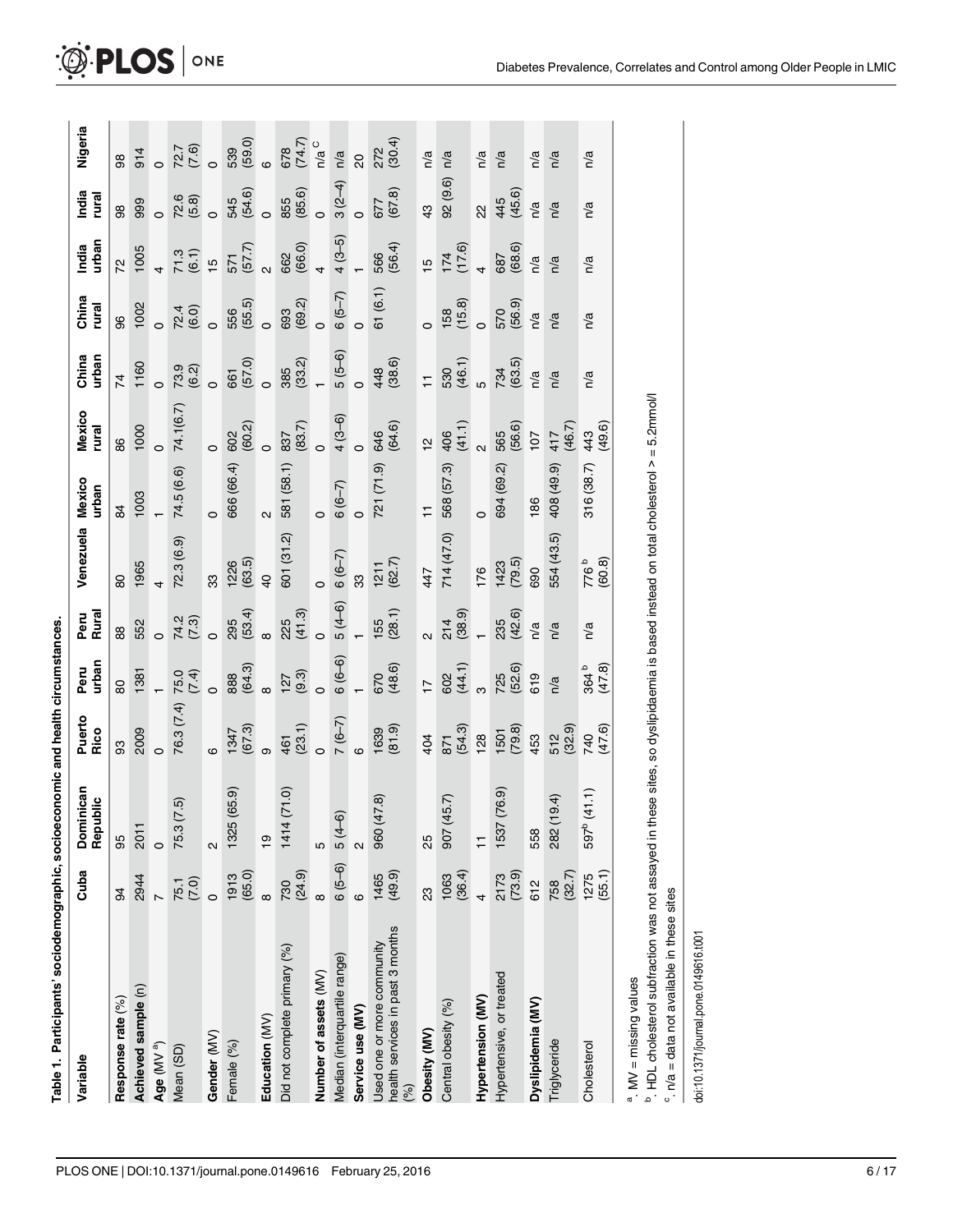| ا<br>إ |
|--------|
|        |
|        |
|        |
|        |
|        |
|        |
|        |
|        |
|        |
|        |
|        |
|        |
| i      |
|        |
|        |
|        |
|        |
|        |
|        |
|        |
|        |
|        |
|        |
|        |
|        |
|        |
|        |
|        |
|        |
|        |
|        |
|        |
|        |
|        |
|        |
|        |
|        |
|        |
|        |
| Ì      |

စ္ယ

<span id="page-5-0"></span>

| Variable                                                              | Cuba              | Dominican<br>Republic   | Puerto<br>Rico     | urban<br>Peru   | Peru<br>Rural           | Venezuela          | <b>Mexico</b><br>urban | Mexico<br>rural | China<br>urban | China<br>rural      | urban<br>India  | India<br>rural    | Nigeria        |
|-----------------------------------------------------------------------|-------------------|-------------------------|--------------------|-----------------|-------------------------|--------------------|------------------------|-----------------|----------------|---------------------|-----------------|-------------------|----------------|
| Response rate (%)                                                     | 8                 | 95                      | 89                 | 80              | 88                      | 80                 | $\overline{8}$         | 86              | $\overline{7}$ | 96                  | 22              | 88                | 88             |
| Achieved sample (n)                                                   | 2944              | 2011                    | 2009               | 1381            | 552                     | 1965               | 1003                   | 1000            | 1160           | 1002                | 1005            | 999               | 914            |
| Age (MV a)                                                            |                   | $\circ$                 | $\circ$            |                 | $\circ$                 |                    |                        | $\circ$         |                |                     |                 |                   |                |
| Mean (SD)                                                             | $75.1$<br>$(7.0)$ | <u>ີເຈ</u><br>75.3 (7   | 76.3 (7.4)         | 75.0<br>(7.4)   | 74.3)<br>(7.3)          | 72.3(6.9)          | 74.5 (6.6)             | 74.1(6.7)       | 73.9<br>(6.2)  | 72.4<br>(6.0)       | (6.1)<br>71.3   | $72.6$<br>$(5.8)$ | 72.7<br>(7.6)  |
| Gender (MV)                                                           |                   | $\sim$                  | ဖ                  | $\circ$         |                         | 33                 | $\circ$                | $\circ$         |                | $\circ$             | $\frac{1}{2}$   | $\circ$           |                |
| Female (%)                                                            | (65.0)<br>1913    | (65.9)<br>1325(         | 1347<br>747<br>747 | 888<br>(64.3)   | (53.4)<br>295           | $1226$<br>$(63.5)$ | 666 (66.4)             | (60.2)<br>602   | 661<br>(57.0)  | 556<br>(55.5)       | 571<br>(57.7)   | (54.6)<br>545     | 539<br>(59.0)  |
| Education (MV)                                                        | $\infty$          | $\overline{9}$          | တ                  | $\infty$        | $\infty$                | $\overline{4}$     | $\sim$                 | $\circ$         | $\circ$        |                     |                 | $\circ$           | $\ddot{\circ}$ |
| Did not complete primary (%)                                          | (24.9)<br>730     | 1414 (71.0)             | 461<br>(23.1)      | (9.3)<br>127    | 225<br>(41.3)           | 601 (31.2)         | 581 (58.1)             | (83.7)<br>837   | (33.2)<br>385  | (69.2)<br>693       | (66.0)<br>662   | 855<br>(85.6)     | (74.7)<br>678  |
| Number of assets (MV)                                                 | $\infty$          | ယ                       | $\circ$            | $\circ$         | $\circ$                 | $\circ$            | $\circ$                | $\circ$         |                |                     |                 | $\circ$           | $n/a$ C        |
| Median (interquartile range)                                          | $6(5-6)$          | $5(4-6)$                | $7(6-7)$           | $6(6-6)$        | $5(4-6)$                | $6(6-7)$           | $6(6-7)$               | $4(3-6)$        | $5(5-6)$       | $6(5-7)$            | $4(3-5)$        | $3(2-4)$          | n/a            |
| Service use (MV)                                                      | ဖ                 | $\mathbf{a}$            | $\circ$            |                 |                         | 33                 | $\circ$                | $\circ$         | $\circ$        | $\circ$             |                 | $\circ$           | 20             |
| Used one or more community<br>health services in past 3 months<br>(%) | (49.9)<br>1465    | 960 (47.8)              | $1639$<br>$(81.9)$ | (48.6)<br>670   | (28.1)                  | (62.7)<br>1211     | 721 (71.9)             | (64.6)<br>646   | 448<br>(38.6)  | 61(6.1)             | 566<br>(56.4)   | (67.8)<br>677     | (30.4)<br>272  |
| Obesity (MV)                                                          | ಔ                 | 25                      | 404                | $\overline{1}$  | $\overline{\mathsf{c}}$ | 447                | Ξ                      | 얻               | $\overline{1}$ |                     | $\frac{10}{2}$  | 43                | n/a            |
| Central obesity (%)                                                   | (36.4)            | 907 (45.7)              | 871<br>(54.3)      | 602<br>(44.1)   | 214<br>(38.9)           | 714(47.0)          | 568 (57.3)             | 406<br>(41.1)   | 530<br>(46.1)  | $(158)$<br>$(15.8)$ | $174$<br>(17.6) | 92(9.6)           | n/a            |
| Hypertension (MV)                                                     |                   | $\overline{1}$          | 128                | ო               |                         | 176                | $\circ$                | $\sim$          |                |                     |                 | 2                 | n/a            |
| Hypertensive, or treated                                              | 2173<br>(73.9)    | 1537 (76.9)             | (79.8)             | 725<br>(52.6)   | (42.6)<br>235           | (79.5)             | 694 (69.2)             | 565<br>(56.6)   | 734<br>(63.5)  | 570<br>(56.9)       | 687<br>(68.6)   | 445<br>(45.6)     | n/a            |
| Dyslipidemia (MV)                                                     | 612               | 558                     | 453                | 619             | n/a                     | 690                | 186                    | 107             | n/a            | n/a                 | n/a             | n/a               | n/a            |
| Triglyceride                                                          | 758<br>(32.7)     | 9.4)<br>282 (19         | 512<br>(32.9)      | n/a             | n/a                     | 554 (43.5)         | 408 (49.9)             | 417<br>(46.7)   | n/a            | n/a                 | n/a             | n/a               | n/a            |
| Cholesterol                                                           | $1275$<br>(55.1)  | 597 <sup>b</sup> (41.1) | 740<br>(47.6)      | 364 b<br>(47.8) | n/a                     | $776b$<br>(60.8)   | 316 (38.7)             | 443<br>(49.6)   | n/a            | n/a                 | n/a             | n/a               | n/a            |
| <sup>a</sup> . MV = missing values                                    |                   |                         |                    |                 |                         |                    |                        |                 |                |                     |                 |                   |                |

 $^{\rm b}$  . HDL cholesterol subfraction was not assayed in these sites, so dyslipidaemia is based instead on total cholesterol > = 5.2mmol/l  $^{\rm b}$  HDL cholesterol subfraction was not assayed in these sites, so dyslipidaemia is based instead on total cholesterol > = 5.2mmol/l  $\degree$  n/a = data not available in these sites

doi:10.1371/journal.pone.0149616.t001 doi:10.1371/journal.pone.0149616.t001

 $c$ .  $n/a$  = data not available in these sites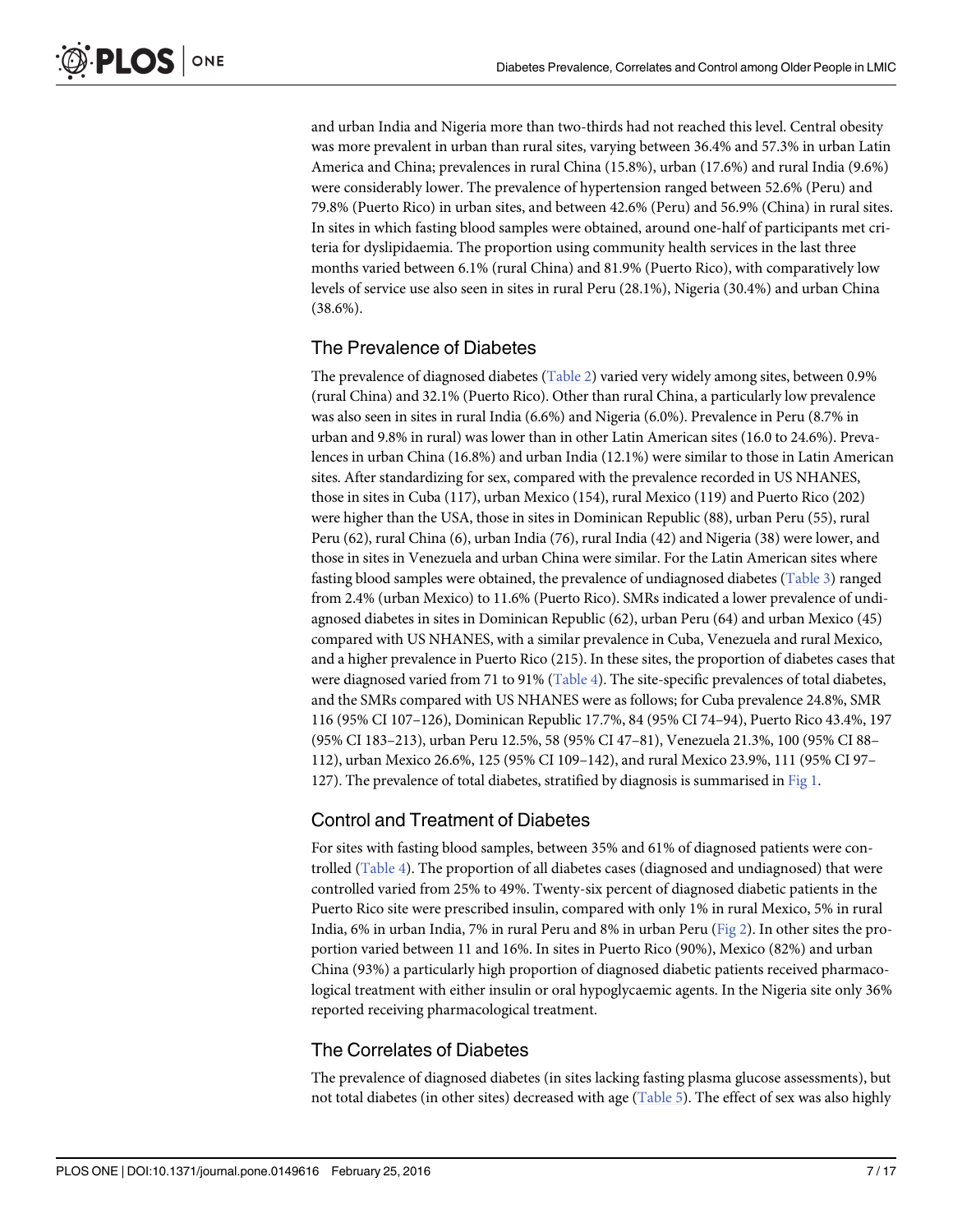<span id="page-6-0"></span>and urban India and Nigeria more than two-thirds had not reached this level. Central obesity was more prevalent in urban than rural sites, varying between 36.4% and 57.3% in urban Latin America and China; prevalences in rural China (15.8%), urban (17.6%) and rural India (9.6%) were considerably lower. The prevalence of hypertension ranged between 52.6% (Peru) and 79.8% (Puerto Rico) in urban sites, and between 42.6% (Peru) and 56.9% (China) in rural sites. In sites in which fasting blood samples were obtained, around one-half of participants met criteria for dyslipidaemia. The proportion using community health services in the last three months varied between 6.1% (rural China) and 81.9% (Puerto Rico), with comparatively low levels of service use also seen in sites in rural Peru (28.1%), Nigeria (30.4%) and urban China (38.6%).

#### The Prevalence of Diabetes

The prevalence of diagnosed diabetes [\(Table 2](#page-7-0)) varied very widely among sites, between 0.9% (rural China) and 32.1% (Puerto Rico). Other than rural China, a particularly low prevalence was also seen in sites in rural India (6.6%) and Nigeria (6.0%). Prevalence in Peru (8.7% in urban and 9.8% in rural) was lower than in other Latin American sites (16.0 to 24.6%). Prevalences in urban China (16.8%) and urban India (12.1%) were similar to those in Latin American sites. After standardizing for sex, compared with the prevalence recorded in US NHANES, those in sites in Cuba (117), urban Mexico (154), rural Mexico (119) and Puerto Rico (202) were higher than the USA, those in sites in Dominican Republic (88), urban Peru (55), rural Peru (62), rural China (6), urban India (76), rural India (42) and Nigeria (38) were lower, and those in sites in Venezuela and urban China were similar. For the Latin American sites where fasting blood samples were obtained, the prevalence of undiagnosed diabetes ([Table 3\)](#page-9-0) ranged from 2.4% (urban Mexico) to 11.6% (Puerto Rico). SMRs indicated a lower prevalence of undiagnosed diabetes in sites in Dominican Republic (62), urban Peru (64) and urban Mexico (45) compared with US NHANES, with a similar prevalence in Cuba, Venezuela and rural Mexico, and a higher prevalence in Puerto Rico (215). In these sites, the proportion of diabetes cases that were diagnosed varied from 71 to 91% [\(Table 4](#page-10-0)). The site-specific prevalences of total diabetes, and the SMRs compared with US NHANES were as follows; for Cuba prevalence 24.8%, SMR 116 (95% CI 107–126), Dominican Republic 17.7%, 84 (95% CI 74–94), Puerto Rico 43.4%, 197 (95% CI 183–213), urban Peru 12.5%, 58 (95% CI 47–81), Venezuela 21.3%, 100 (95% CI 88– 112), urban Mexico 26.6%, 125 (95% CI 109–142), and rural Mexico 23.9%, 111 (95% CI 97– 127). The prevalence of total diabetes, stratified by diagnosis is summarised in [Fig 1.](#page-10-0)

### Control and Treatment of Diabetes

For sites with fasting blood samples, between 35% and 61% of diagnosed patients were controlled ([Table 4\)](#page-10-0). The proportion of all diabetes cases (diagnosed and undiagnosed) that were controlled varied from 25% to 49%. Twenty-six percent of diagnosed diabetic patients in the Puerto Rico site were prescribed insulin, compared with only 1% in rural Mexico, 5% in rural India, 6% in urban India, 7% in rural Peru and 8% in urban Peru ([Fig 2](#page-11-0)). In other sites the proportion varied between 11 and 16%. In sites in Puerto Rico (90%), Mexico (82%) and urban China (93%) a particularly high proportion of diagnosed diabetic patients received pharmacological treatment with either insulin or oral hypoglycaemic agents. In the Nigeria site only 36% reported receiving pharmacological treatment.

### The Correlates of Diabetes

The prevalence of diagnosed diabetes (in sites lacking fasting plasma glucose assessments), but not total diabetes (in other sites) decreased with age ([Table 5\)](#page-12-0). The effect of sex was also highly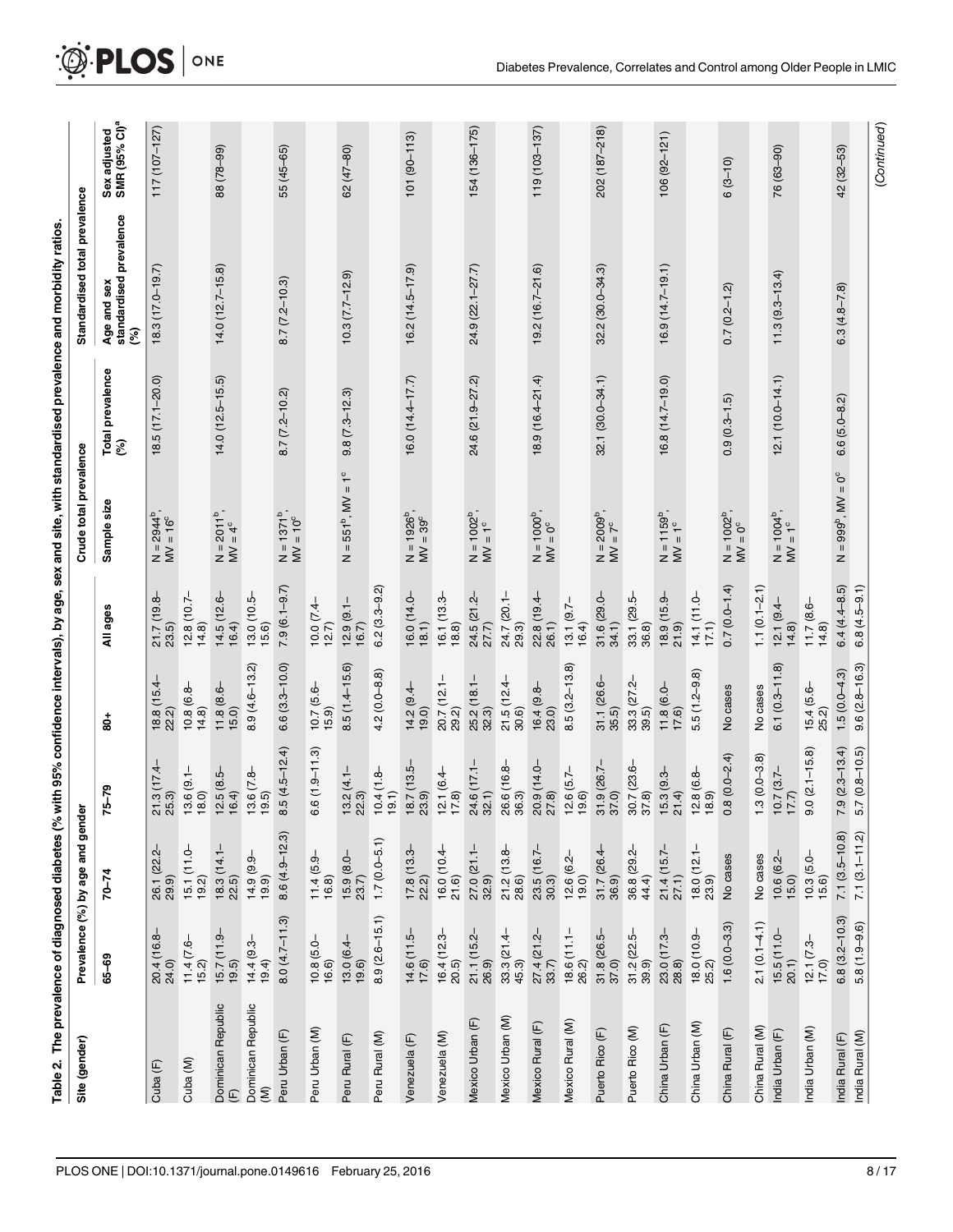<span id="page-7-0"></span>

|                                            |                                       |                                      |                                        |                                       |                                                  |                                           |                         | Table 2. The prevalence of diagnosed diabetes (% with 95% confidence intervals), by age, sex and site, with standardised prevalence and morbidity ratios. |                                           |
|--------------------------------------------|---------------------------------------|--------------------------------------|----------------------------------------|---------------------------------------|--------------------------------------------------|-------------------------------------------|-------------------------|-----------------------------------------------------------------------------------------------------------------------------------------------------------|-------------------------------------------|
| Site (gender)                              |                                       | Prevalence (%) by age and geno       | è                                      |                                       |                                                  | Crude total prevalence                    |                         | Standardised total prevalence                                                                                                                             |                                           |
|                                            | 65-69                                 | $70 - 74$                            | $75 - 79$                              | క్షే                                  | All ages                                         | Sample size                               | Total prevalence<br>(%) | Age and sex<br>standardised prevalence<br>(%)                                                                                                             | Sex adjusted<br>SMR (95% CI) <sup>a</sup> |
| Cuba (F)                                   | 20.4 (16.8-<br>24.0)                  | 26.1 (22.2-<br>29.9)                 | $21.3(17.4 -$<br>25.3)                 | 18.8 (15.4-<br>22.2)                  | 21.7 (19.8-<br>23.5)                             | $N = 2944^b$ ,<br>$MV = 16^c$             | $18.5(17.1 - 20.0)$     | $18.3(17.0 - 19.7)$                                                                                                                                       | 117 (107-127)                             |
| Cuba (M)                                   | $11.4(7.6-$<br>15.2)                  | $\frac{15.1(11.0-18.2)}{19.2}$       | $13.6(9.1 -$<br>18.0                   | $\frac{10.8 (6.8-}{14.8)}$            | $12.8(10.7 -$<br>14.8                            |                                           |                         |                                                                                                                                                           |                                           |
| Dominican Republic<br>$(\overline{F})$     | $\frac{15.7}{19.5}$ $(11.9 -$         | $18.3(14.1-$<br>22.5)                | $12.5(8.5-$<br>16.4                    | $\frac{11.8(8.6-}{15.0)}$             | $14.5(12.6 -$<br>16.4                            | $N = 2011^{b}$ ,<br>$MV = 4^{c}$          | $14.0(12.5 - 15.5)$     | $14.0(12.7 - 15.8)$                                                                                                                                       | 88 (78-99)                                |
| Dominican Republic<br>$\widehat{\epsilon}$ | $14.4(9.3-$<br>19.4                   | $14.9(9.9-19.9)$                     | $13.6(7.8-$<br>19.5                    | $8.9(4.6 - 13.2)$                     | 13.0 (10.5-<br>15.6                              |                                           |                         |                                                                                                                                                           |                                           |
| Peru Urban (F)                             | $8.0(4.7 - 11.3)$                     | $8.6(4.9 - 12.3)$                    | $8.5(4.5 - 12.4)$                      | $6.6(3.3 - 10.0)$                     | $7.9(6.1 - 9.7)$                                 | $N = 1371^b$ ,<br>$MV = 10^c$             | $8.7(7.2 - 10.2)$       | $8.7(7.2 - 10.3)$                                                                                                                                         | 55 (45–65)                                |
| Peru Urban (M)                             | $10.8(5.0-16.6)$                      | $11.4(5.9 - 16.8)$                   | $6.6(1.9 - 11.3)$                      | $10.7(5.6 -$<br>15.9)                 | $\begin{array}{c} 10.0 (7.4 - 12.7) \end{array}$ |                                           |                         |                                                                                                                                                           |                                           |
| Peru Rural (F)                             | $13.0(6.4-19.6)$                      | $15.9(8.0 -$<br>23.7)                | $13.2(4.1-22.3)$                       | $8.5(1.4 - 15.6)$                     | $12.9(9.1 -$<br>16.7                             | $N = 551^{b}$ , $MV = 1^{c}$              | $9.8(7.3 - 12.3)$       | $10.3(7.7 - 12.9)$                                                                                                                                        | $62(47 - 80)$                             |
| Peru Rural (M)                             | $8.9(2.6 - 15.1)$                     | $1.7(0.0 - 5.1)$                     | $10.4(1.8-$<br>19.1                    | $4.2(0.0 - 8.8)$                      | $6.2(3.3 - 9.2)$                                 |                                           |                         |                                                                                                                                                           |                                           |
| Venezuela (F)                              | $\frac{14.6}{17.6}$ $(11.5-$          | $\frac{17.8(13.3-2)}{22.2}$          | $\frac{18.7}{23.9}$ (13.5-             | $14.2(9.4-$<br>19.0)                  | 16.0 (14.0-<br>18.1)                             | $N = 1926^{b}$ ,<br>$MV = 39^{c}$         | $16.0(14.4 - 17.7)$     | $16.2(14.5 - 17.9)$                                                                                                                                       | $101(90 - 113)$                           |
| Venezuela (M)                              | $16.4(12.3-20.5)$                     | $16.0(10.4-21.6)$                    | $12.1(6.4-$<br>17.8                    | 20.7 (12.1-<br>29.2)                  | $16.1(13.3 -$<br>18.8                            |                                           |                         |                                                                                                                                                           |                                           |
| Mexico Urban (F)                           | $21.1(15.2 -$<br>26.9)                | 27.0 (21.1-<br>32.9)                 | 24.6 (17.1-<br>32.1                    | $25.2(18.1 -$<br>32.3                 | $24.5$ (21.2-<br>27.7)                           | $N = 1002^{b}$ ,<br>$MV = 1^{c}$          | 24.6 (21.9-27.2)        | 24.9 (22.1-27.7)                                                                                                                                          | 154 (136-175)                             |
| Mexico Urban (M)                           | $33.3(21.4-$<br>45.3)                 | 21.2 (13.8-<br>28.6)                 | 26.6 (16.8-<br>36.3)                   | $21.5(12.4 -$<br>(30.6)               | 24.7 (20.1-<br>29.3)                             |                                           |                         |                                                                                                                                                           |                                           |
| Mexico Rural (F)                           | 27.4 (21.2-<br>33.7)                  | $23.5(16.7-$<br>$30.3)$              | 20.9 (14.0-<br>27.8)                   | $16.4(9.8-$<br>23.0)                  | $22.8(19.4-$<br>26.1)                            | $N = 1000^{b}$ ,<br>$MV = 0^{c}$          | $18.9(16.4 - 21.4)$     | $19.2(16.7 - 21.6)$                                                                                                                                       | $119(103 - 137)$                          |
| Mexico Rural (M)                           | $18.6(11.1 -$<br>26.2)                | $12.6(6.2-$<br>19.0)                 | $12.6(5.7-$<br>19.6                    | $8.5(3.2 - 13.8)$                     | $13.1(9.7-$<br>16.4                              |                                           |                         |                                                                                                                                                           |                                           |
| Puerto Rico (F)                            | $31.8(26.5-$<br>$37.0)$               | $31.7(26.4 - 36.9)$                  | $31.9(26.7 -$<br>37.0)                 | $31.1(26.6 -$<br>(35.5)               | $31.6(29.0 -$<br>34.1)                           | $N = 2009^{b}$ ,<br>$MV = 7^c$            | 32.1 (30.0-34.1)        | $32.2(30.0 - 34.3)$                                                                                                                                       | 202 (187-218)                             |
| Puerto Rico (M)                            | $31.2 (22.5 - 39.9)$                  | 36.8 (29.2-<br>44.4)                 | 30.7 (23.6-<br>37.8)                   | $33.3 (27.2 - 39.5)$                  | $33.1(29.5-$<br>36.8)                            |                                           |                         |                                                                                                                                                           |                                           |
| China Urban (F)                            | 23.0 (17.3-<br>28.8)                  | $21.4(15.7-$<br>27.1)                | $15.3(9.3 -$<br>21.4                   | $11.8(6.0 -$<br>17.6                  | 18.9 (15.9-<br>(6.15)                            | $N = 1159^{b}$ ,<br>$MV = 1^{c}$          | $16.8(14.7 - 19.0)$     | $16.9(14.7 - 19.1)$                                                                                                                                       | $106(92 - 121)$                           |
| China Urban (M)                            | $18.0(10.9-25.2)$                     | $\frac{18.0 (12.1 -}{23.9)}$         | $12.8(6.8-$<br>18.9                    | $5.5(1.2-9.8)$                        | $14.1(11.0-$<br>$17.1)$                          |                                           |                         |                                                                                                                                                           |                                           |
| China Rural (F)                            | $1.6(0.0-3.3)$                        | No cases                             | $0.8(0.0 - 2.4)$                       | No cases                              | $0.7(0.0 - 1.4)$                                 | $N = 1002^{b}$ ,<br>$MV = 0^{c}$          | $0.9(0.3-1.5)$          | $0.7(0.2 - 1.2)$                                                                                                                                          | $6(3-10)$                                 |
| China Rural (M)                            | $2.1(0.1-4.1)$                        | No cases                             | $1.3(0.0 - 3.8)$                       | No cases                              | $1.1(0.1-2.1)$                                   |                                           |                         |                                                                                                                                                           |                                           |
| India Urban (F)                            | $15.5(11.0-20.1)$                     | $10.6(6.2-$<br>$15.0)$               | $\frac{10.7}{17.7}$ (3.7-              | $6.1(0.3 - 11.8)$                     | $\frac{12.1 (9.4 - 1)}{14.8}$                    | $N = 1004^{b}$ ,<br>$MV = 1^{c}$          | $12.1(10.0 - 14.1)$     | $11.3(9.3 - 13.4)$                                                                                                                                        | 76 (63-90)                                |
| India Urban (M)                            | $12.1(7.3 - 17.0)$                    | $10.3(5.0-15.6)$                     | $9.0(2.1 - 15.8)$                      | $15.4(5.6-25.2)$                      | $11.7(8.6 -$<br>14.8                             |                                           |                         |                                                                                                                                                           |                                           |
| India Rural (M)<br>India Rural (F)         | $6.8(3.2 - 10.3)$<br>$5.8(1.9 - 9.6)$ | $7.1(3.5-10.8)$<br>$7.1(3.1 - 11.2)$ | $7.9(2.3 - 13.4)$<br>$5.7(0.8 - 10.5)$ | $9.6(2.8 - 16.3)$<br>$1.5(0.0 - 4.3)$ | $6.4(4.4 - 8.5)$<br>$6.8(4.5-9.1)$               | $= 999^{\circ}$ , MV = 0°<br>$\mathsf{z}$ | $6.6(5.0 - 8.2)$        | $6.3(4.8 - 7.8)$                                                                                                                                          | 42 (32-53)                                |
|                                            |                                       |                                      |                                        |                                       |                                                  |                                           |                         |                                                                                                                                                           | (Continued)                               |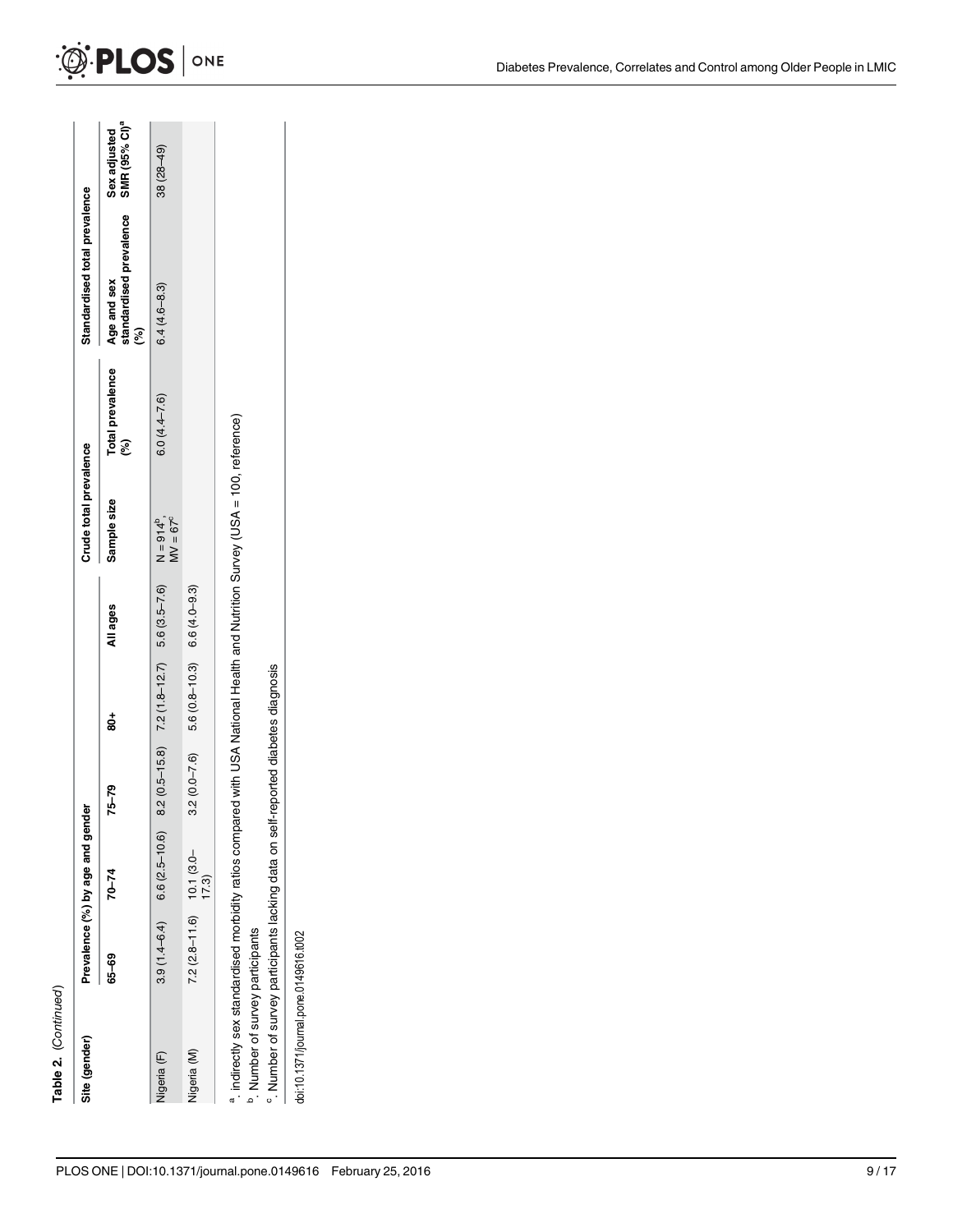| c |
|---|
|   |

| Site (gender)                                                                                                                                                                                                                                                                 |                               | Prevalence (%) by age and gender |                |                                                |                | Crude total prevalence               |                              | Standardised total prevalence                           |                                           |
|-------------------------------------------------------------------------------------------------------------------------------------------------------------------------------------------------------------------------------------------------------------------------------|-------------------------------|----------------------------------|----------------|------------------------------------------------|----------------|--------------------------------------|------------------------------|---------------------------------------------------------|-------------------------------------------|
|                                                                                                                                                                                                                                                                               | 65–69                         | $70 - 74$                        | $75 - 79$      | ន្ល់                                           | All ages       | Sample size                          | Total prevalence<br><b>E</b> | standardised prevalence<br>Age and sex<br>$\mathcal{S}$ | SMR (95% CI) <sup>ª</sup><br>Sex adjusted |
| Nigeria (F)                                                                                                                                                                                                                                                                   | $3.9(1.4 - 6.4)$              | $6.6(2.5 - 10.6)$                |                | $8.2(0.5-15.8)$ $7.2(1.8-12.7)$ $5.6(3.5-7.6)$ |                | $MV = 67^{\circ}$<br>$N = 914^{b}$ , | $6.0(4.4 - 7.6)$             | $6.4(4.6 - 8.3)$                                        | $(6p-82)$ 85                              |
| Nigeria (M)                                                                                                                                                                                                                                                                   | $7.2 (2.8 - 11.6)$ 10.1 (3.0- | 7.3)                             | $3.2(0.0-7.6)$ | $5.6(0.8 - 10.3)$                              | $6.6(4.0-9.3)$ |                                      |                              |                                                         |                                           |
| a indirectly sex standardised morbidity ratios compared with USA National Health and Nutrition Survey (USA = 100, reference)<br><sup>o</sup> . Number of survey participants lacking data on self-reported diabetes diagnosis<br><sup>b</sup> . Number of survey participants |                               |                                  |                |                                                |                |                                      |                              |                                                         |                                           |

doi:10.1371/journal.pone.0149616.t002

doi:10.1371/journal.pone.0149616.t002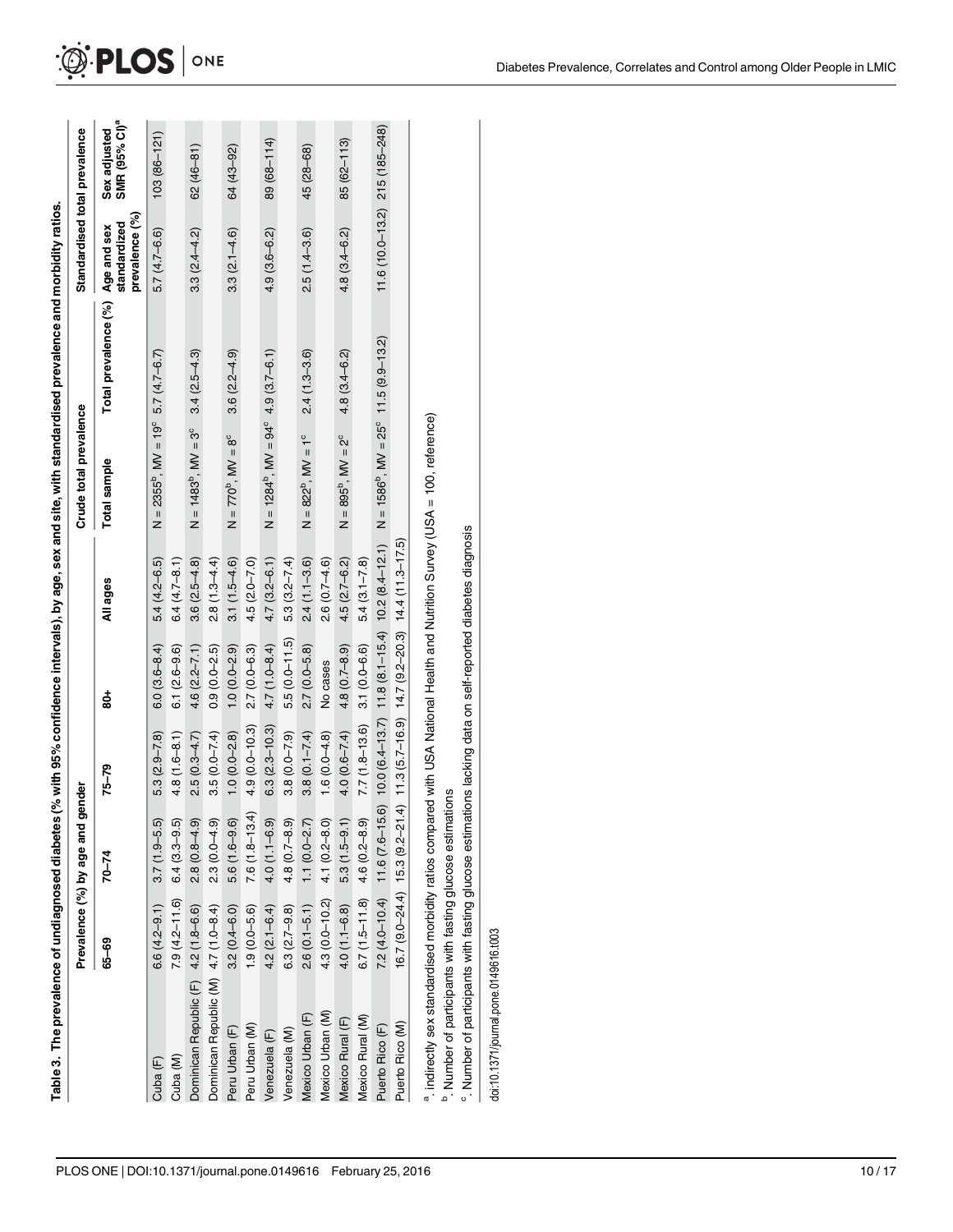<span id="page-9-0"></span>

| Table 3. The prevalence of undiagnoser |                                 |           |       |          |                        | tes (% with 95% confidence intervals), by age, sex and site, with standardised prevalence and morbidity ratios. |                               |
|----------------------------------------|---------------------------------|-----------|-------|----------|------------------------|-----------------------------------------------------------------------------------------------------------------|-------------------------------|
|                                        | revalence (%) by age and gender |           |       |          | Crude total prevalence |                                                                                                                 | standardised total prevalence |
| م –<br>م                               |                                 | $75 - 79$ | ខ្លុំ | All ages | Total sample           | Total prevalence (%) Age and sex Sex adjusted                                                                   |                               |

|                                                                                                                              | Prevalence (%) by age and           | gender            |                                                              |                   |                  | Crude total prevalence                                                                                                          |                                  | Standardised total prevalence     |                                           |
|------------------------------------------------------------------------------------------------------------------------------|-------------------------------------|-------------------|--------------------------------------------------------------|-------------------|------------------|---------------------------------------------------------------------------------------------------------------------------------|----------------------------------|-----------------------------------|-------------------------------------------|
|                                                                                                                              | 65-69                               | $70 - 74$         | $75 - 79$                                                    | ខ្លុំ             | All ages         | Total sample                                                                                                                    | Total prevalence (%) Age and sex | prevalence (%)<br>standardized    | SMR (95% CI) <sup>ª</sup><br>Sex adjusted |
| Cuba <sub>(F)</sub>                                                                                                          | $6.6(4.2 - 9.1)$                    | $3.7(1.9-5.5)$    | $5.3(2.9 - 7.8)$                                             | $6.0(3.6 - 8.4)$  | $5.4(4.2 - 6.5)$ | $N = 2355^b$ , $MV = 19^c$ 5.7 (4.7-6.7)                                                                                        |                                  | $5.7(4.7 - 6.6)$                  | $103(86 - 121)$                           |
| Cuba (M)                                                                                                                     | $7.9(4.2 - 11.6)$                   | $6.4(3.3-9.5)$    | $4.8(1.6 - 8.1)$                                             | $6.1(2.6-9.6)$    | $6.4(4.7 - 8.1)$ |                                                                                                                                 |                                  |                                   |                                           |
| Dominican Republic (F) 4.2 (1.8-6.6)                                                                                         |                                     | $2.8(0.8 - 4.9)$  | $2.5(0.3 - 4.7)$                                             | $4.6(2.2 - 7.1)$  | $3.6(2.5-4.8)$   | $N = 1483^{b}$ , $MV = 3^{c}$                                                                                                   | $3.4(2.5 - 4.3)$                 | $3.3(2.4 - 4.2)$                  | $62(46 - 81)$                             |
| Dominican Republic (M) 4.7 (1.0-8.4)                                                                                         |                                     | $2.3(0.0 - 4.9)$  | $3.5(0.0 - 7.4)$                                             | $0.9(0.0-2.5)$    | $2.8(1.3 - 4.4)$ |                                                                                                                                 |                                  |                                   |                                           |
| Peru Urban (F)                                                                                                               | $3.2(0.4 - 6.0)$                    | $5.6(1.6-9.6)$    | $1.0(0.0 - 2.8)$                                             | $1.0(0.0 - 2.9)$  | $3.1(1.5-4.6)$   | $N = 770^b$ , $MV = 8^c$                                                                                                        | $3.6(2.2 - 4.9)$                 | $3.3(2.1 - 4.6)$                  | 64 (43-92)                                |
| Peru Urban (M)                                                                                                               | $1.9(0.0 - 5.6)$                    | $7.6(1.8 - 13.4)$ | $4.9(0.0 - 10.3)$                                            | $2.7(0.0 - 6.3)$  | $4.5(2.0 - 7.0)$ |                                                                                                                                 |                                  |                                   |                                           |
| Venezuela (F)                                                                                                                | $4.2(2.1 - 6.4)$                    | $4.0(1.1 - 6.9)$  | $6.3(2.3 - 10.3)$                                            | $4.7(1.0 - 8.4)$  | $4.7(3.2 - 6.1)$ | $N = 1284^b$ , $MV = 94^c$ 4.9 (3.7-6.1)                                                                                        |                                  | $4.9(3.6 - 6.2)$                  | 89 (68-114)                               |
| Venezuela (M)                                                                                                                | $6.3(2.7 - 9.8)$                    | $4.8(0.7 - 8.9)$  | $3.8(0.0 - 7.9)$                                             | $5.5(0.0 - 11.5)$ | $5.3(3.2 - 7.4)$ |                                                                                                                                 |                                  |                                   |                                           |
| Mexico Urban (F)                                                                                                             | $2.6(0.1 - 5.1)$                    | $1.1(0.0-2.7)$    | $3.8(0.1 - 7.4)$                                             | $2.7(0.0 - 5.8)$  | $2.4(1.1 - 3.6)$ | $N = 822^b$ , $MV = 1^c$                                                                                                        | $2.4(1.3 - 3.6)$                 | $2.5(1.4 - 3.6)$                  | 45 (28-68)                                |
| Mexico Urban (M)                                                                                                             | $4.3(0.0 - 10.2)$                   | $4.1(0.2 - 8.0)$  | $1.6(0.0-4.8)$                                               | No cases          | $2.6(0.7-4.6)$   |                                                                                                                                 |                                  |                                   |                                           |
| Mexico Rural (F)                                                                                                             | $4.0(1.1 - 6.8)$                    | $5.3(1.5-9.1)$    | $4.0(0.6 - 7.4)$                                             | $4.8(0.7 - 8.9)$  | $4.5(2.7 - 6.2)$ | $N = 895^{\circ}$ , $MV = 2^{\circ}$                                                                                            | $4.8(3.4 - 6.2)$                 | $4.8(3.4 - 6.2)$                  | $85(62 - 113)$                            |
| Mexico Rural (M)                                                                                                             | $6.7(1.5 - 11.8)$ 4.6 $(0.2 - 8.9)$ |                   | $7.7(1.8 - 13.6)$                                            | $3.1(0.0 - 6.6)$  | $5.4(3.1 - 7.8)$ |                                                                                                                                 |                                  |                                   |                                           |
| Puerto Rico (F)                                                                                                              |                                     |                   |                                                              |                   |                  | 7.2 (4.0-10.4) 11.6 (7.6-15.6) 10.0 (6.4-13.7) 11.8 (8.1-15.4) 10.2 (8.4-12.1) N = 1586 <sup>5</sup> , MV = 25° 11.5 (9.9-13.2) |                                  | $11.6(10.0 - 13.2)$ 215 (185-248) |                                           |
| Puerto Rico (M)                                                                                                              | $16.7(9.0-24.4)$ 15.3 $(9.2-21)$    |                   | $(4)$ 11.3 $(5.7-16.9)$ 14.7 $(9.2-20.3)$ 14.4 $(11.3-17.5)$ |                   |                  |                                                                                                                                 |                                  |                                   |                                           |
| a indirectly sex standardised morbidity ratios compared with USA National Health and Nutrition Survey (USA = 100, reference) |                                     |                   |                                                              |                   |                  |                                                                                                                                 |                                  |                                   |                                           |

<sup>b</sup>. Number of participants with fasting glucose estimations b. Number of participants with fasting glucose estimations

<sup>c</sup>. Number of participants with fasting glucose estimations lacking data on self-reported diabetes diagnosis c. Number of participants with fasting glucose estimations lacking data on self-reported diabetes diagnosis

doi:10.1371/journal.pone.0149616.t003 doi:10.1371/journal.pone.0149616.t003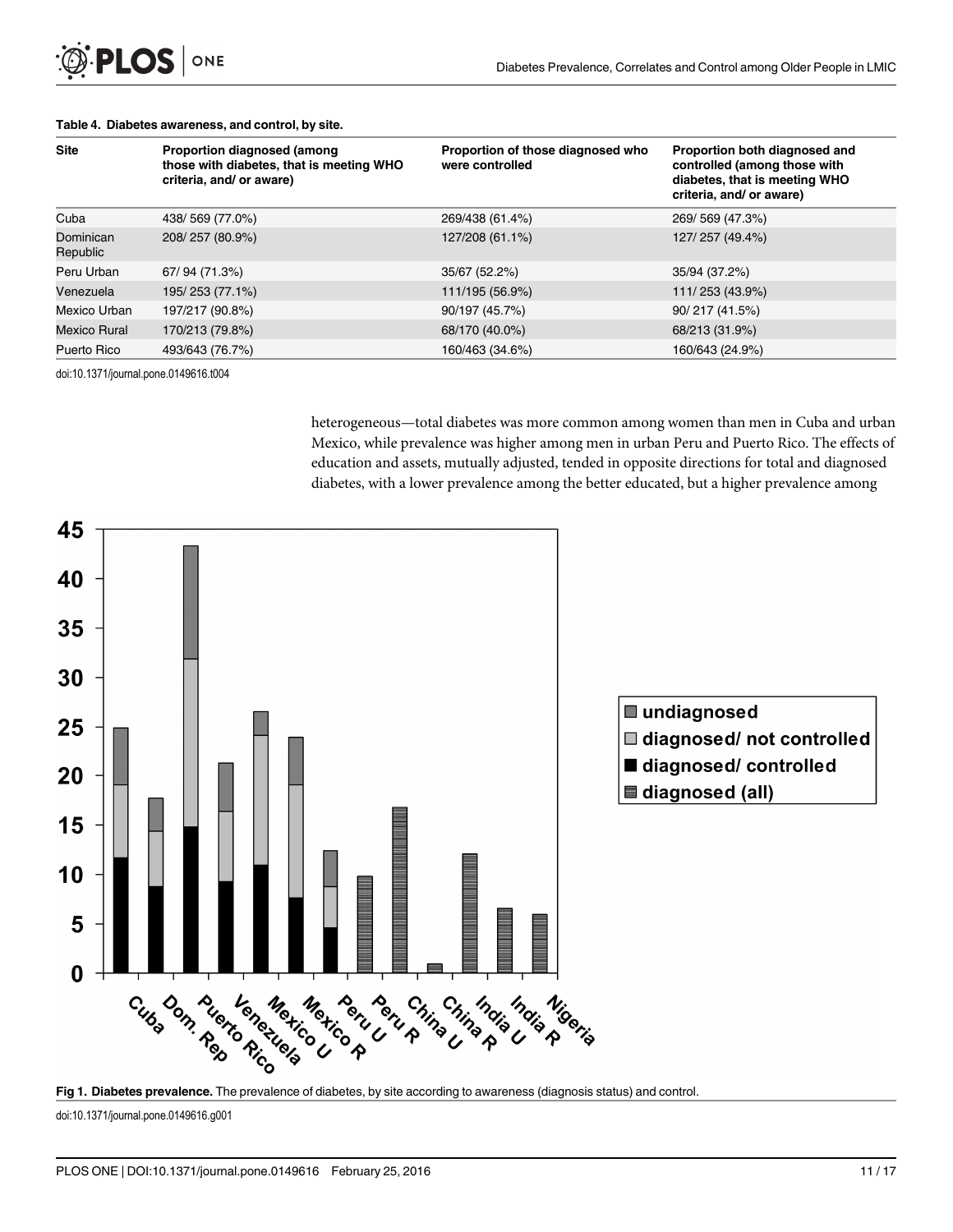| <b>Site</b>           | <b>Proportion diagnosed (among)</b><br>those with diabetes, that is meeting WHO<br>criteria, and/ or aware) | Proportion of those diagnosed who<br>were controlled | Proportion both diagnosed and<br>controlled (among those with<br>diabetes, that is meeting WHO<br>criteria, and/ or aware) |
|-----------------------|-------------------------------------------------------------------------------------------------------------|------------------------------------------------------|----------------------------------------------------------------------------------------------------------------------------|
| Cuba                  | 438/569 (77.0%)                                                                                             | 269/438 (61.4%)                                      | 269/569 (47.3%)                                                                                                            |
| Dominican<br>Republic | 208/257 (80.9%)                                                                                             | 127/208 (61.1%)                                      | 127/257 (49.4%)                                                                                                            |
| Peru Urban            | 67/94 (71.3%)                                                                                               | 35/67 (52.2%)                                        | 35/94 (37.2%)                                                                                                              |
| Venezuela             | 195/253 (77.1%)                                                                                             | 111/195 (56.9%)                                      | 111/253 (43.9%)                                                                                                            |
| Mexico Urban          | 197/217 (90.8%)                                                                                             | 90/197 (45.7%)                                       | 90/217 (41.5%)                                                                                                             |
| <b>Mexico Rural</b>   | 170/213 (79.8%)                                                                                             | 68/170 (40.0%)                                       | 68/213 (31.9%)                                                                                                             |
| Puerto Rico           | 493/643 (76.7%)                                                                                             | 160/463 (34.6%)                                      | 160/643 (24.9%)                                                                                                            |

#### <span id="page-10-0"></span>[Table 4.](#page-6-0) Diabetes awareness, and control, by site.

doi:10.1371/journal.pone.0149616.t004

heterogeneous—total diabetes was more common among women than men in Cuba and urban Mexico, while prevalence was higher among men in urban Peru and Puerto Rico. The effects of education and assets, mutually adjusted, tended in opposite directions for total and diagnosed diabetes, with a lower prevalence among the better educated, but a higher prevalence among



doi:10.1371/journal.pone.0149616.g001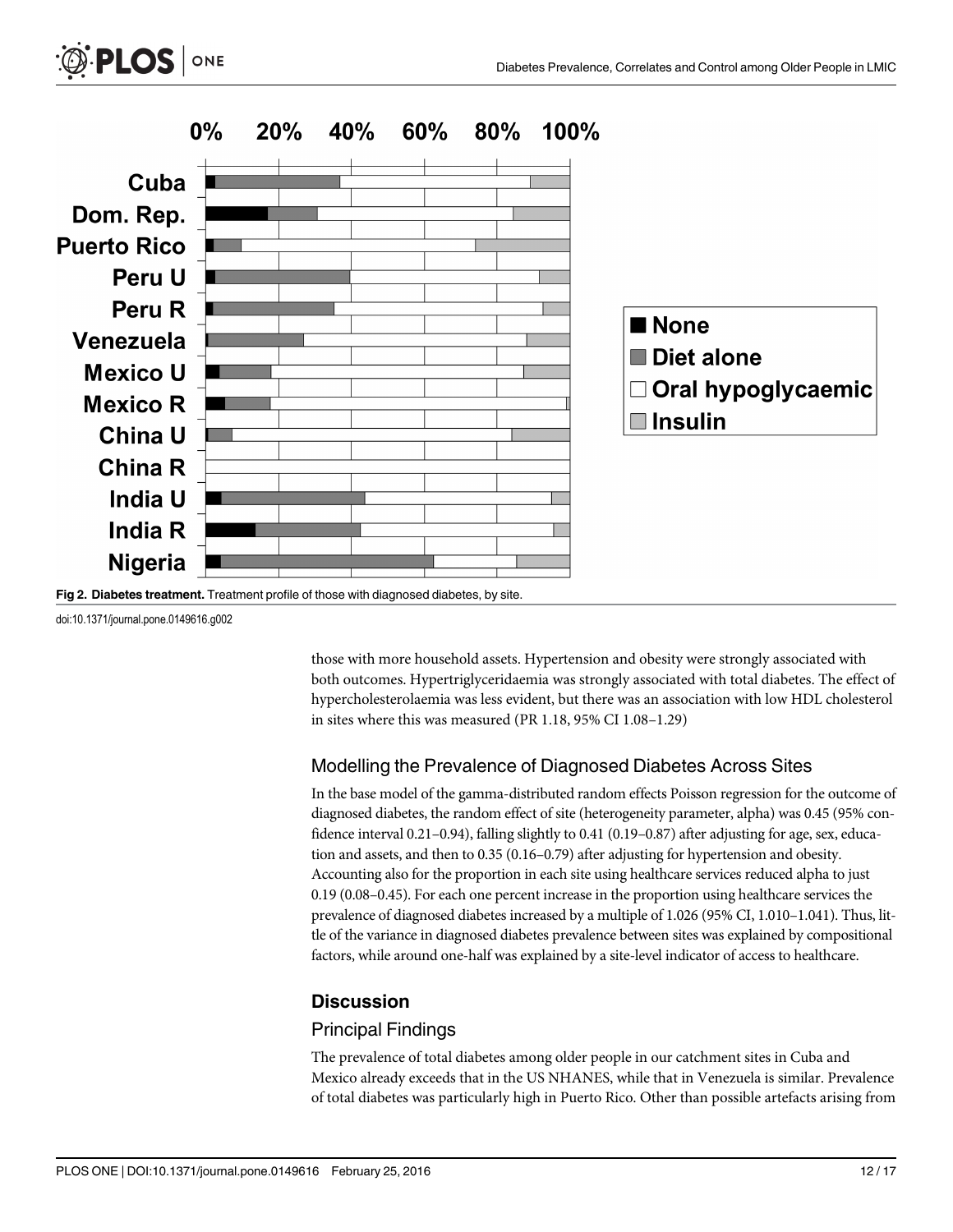



doi:10.1371/journal.pone.0149616.g002

<span id="page-11-0"></span>**PLOS** ONE

those with more household assets. Hypertension and obesity were strongly associated with both outcomes. Hypertriglyceridaemia was strongly associated with total diabetes. The effect of hypercholesterolaemia was less evident, but there was an association with low HDL cholesterol in sites where this was measured (PR 1.18, 95% CI 1.08–1.29)

#### Modelling the Prevalence of Diagnosed Diabetes Across Sites

In the base model of the gamma-distributed random effects Poisson regression for the outcome of diagnosed diabetes, the random effect of site (heterogeneity parameter, alpha) was 0.45 (95% confidence interval 0.21–0.94), falling slightly to 0.41 (0.19–0.87) after adjusting for age, sex, education and assets, and then to 0.35 (0.16–0.79) after adjusting for hypertension and obesity. Accounting also for the proportion in each site using healthcare services reduced alpha to just 0.19 (0.08–0.45). For each one percent increase in the proportion using healthcare services the prevalence of diagnosed diabetes increased by a multiple of 1.026 (95% CI, 1.010–1.041). Thus, little of the variance in diagnosed diabetes prevalence between sites was explained by compositional factors, while around one-half was explained by a site-level indicator of access to healthcare.

#### **Discussion**

#### Principal Findings

The prevalence of total diabetes among older people in our catchment sites in Cuba and Mexico already exceeds that in the US NHANES, while that in Venezuela is similar. Prevalence of total diabetes was particularly high in Puerto Rico. Other than possible artefacts arising from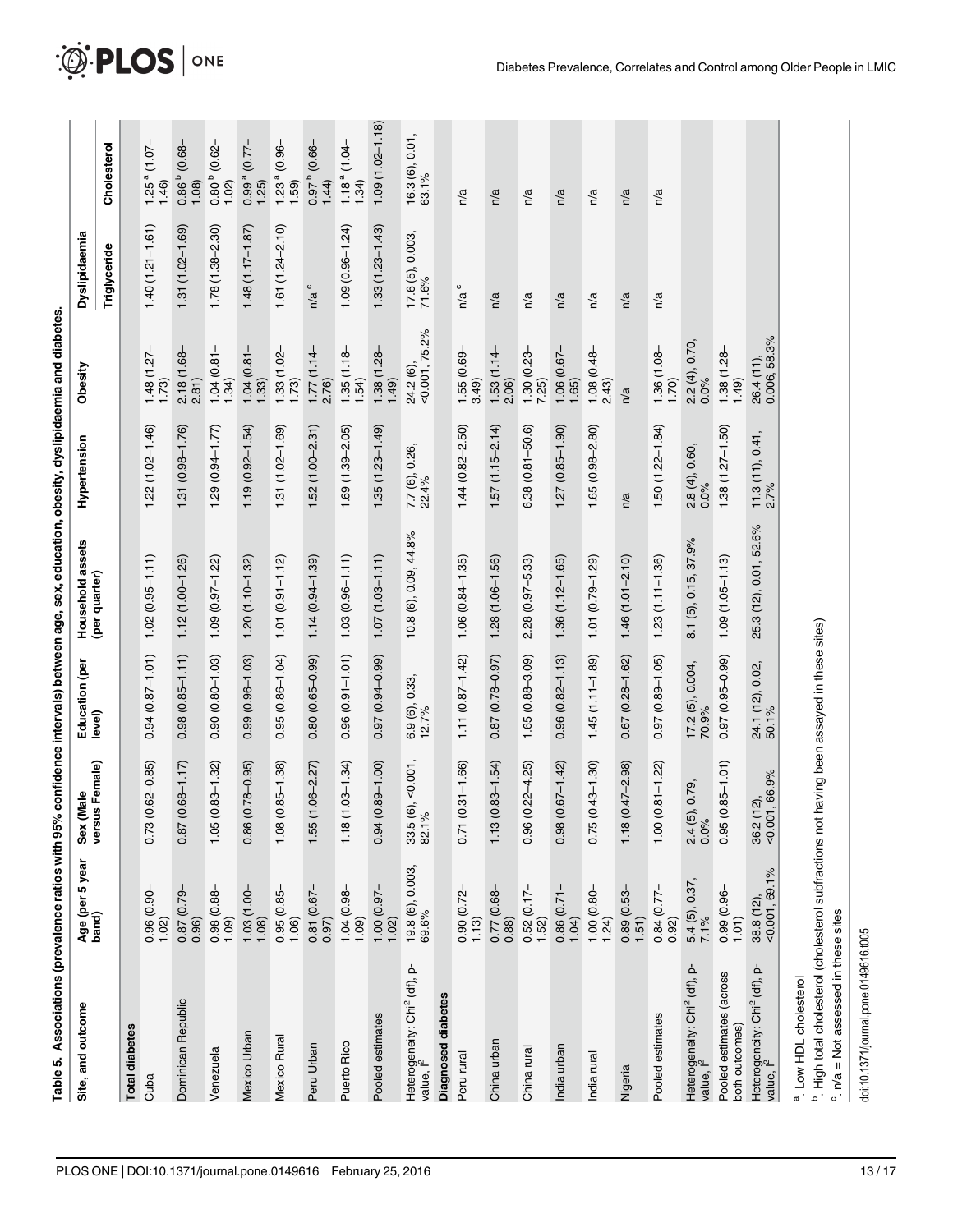| l<br>l                                         |
|------------------------------------------------|
|                                                |
|                                                |
|                                                |
|                                                |
|                                                |
|                                                |
|                                                |
| ֖֧֧֧֚֚֚֚֚֚֚֚֚֚֚֚֚֚֚֬֡֡֡֘֜֡֓֝֬֝֩<br>ĺ<br>l<br>ī |

<span id="page-12-0"></span> $\mathcal{D}$  PLOS  $\vert$  one

| Site, and outcome                                                                                                                                                                               | Age (per 5 year<br>band)                                  | versus Female)<br>Sex (Male      | Education (per<br>level)  | Household assets       | Hypertension              | Obesity                    | Dyslipidaemia                 |                                      |
|-------------------------------------------------------------------------------------------------------------------------------------------------------------------------------------------------|-----------------------------------------------------------|----------------------------------|---------------------------|------------------------|---------------------------|----------------------------|-------------------------------|--------------------------------------|
|                                                                                                                                                                                                 |                                                           |                                  |                           | (per quarter)          |                           |                            | Triglyceride                  | Cholesterol                          |
| <b>Total diabetes</b>                                                                                                                                                                           |                                                           |                                  |                           |                        |                           |                            |                               |                                      |
| Cuba                                                                                                                                                                                            | $0.96(0.90 -$<br>1.02                                     | $0.73(0.62 - 0.85)$              | $0.94(0.87 - 1.01)$       | $1.02(0.95 - 1.11)$    | $1.22(1.02 - 1.46)$       | $1.48(1.27 -$<br>1.73      | $1.40(1.21 - 1.61)$           | $1.25$ <sup>a</sup> (1.07-<br>1.46   |
| Dominican Republic                                                                                                                                                                              | $0.87(0.79 -$<br>0.96)                                    | 68-1.17)<br>0.87(0.6)            | $0.98(0.85 - 1.11)$       | $1.12(1.00 - 1.26)$    | $1.31(0.98 - 1.76)$       | $2.18(1.68 -$<br>2.81)     | $1.31(1.02 - 1.69)$           | $(0.68 -$<br>$0.86^{b}$<br>1.08      |
| Venezuela                                                                                                                                                                                       | $0.98(0.88 -$<br>1.09                                     | $1.05(0.83 - 1.32)$              | $0.90(0.80 - 1.03)$       | $1.09(0.97 - 1.22)$    | $1.29(0.94 - 1.77)$       | $1.04(0.81-$<br>1.34)      | $1.78(1.38 - 2.30)$           | $(0.62 -$<br>$0.80^{b}$<br>1.02      |
| Mexico Urban                                                                                                                                                                                    | $\begin{array}{c} 1.03 (1.00 - 1.08) \\ 1.08 \end{array}$ | $78 - 0.95$<br>0.86(0.7)         | $0.99(0.96 - 1.03)$       | $1.20(1.10 - 1.32)$    | $1.19(0.92 - 1.54)$       | $1.04(0.81 -$<br>$1.33)$   | $1.48(1.17 - 1.87)$           | $-27.0$<br>0.99 <sup>a</sup><br>1.25 |
| Mexico Rural                                                                                                                                                                                    | $0.95(0.85-$                                              | $85 - 1.38$<br>1.08(0.8)         | $0.95(0.86 - 1.04)$       | $1.01(0.91 - 1.12)$    | $1.31(1.02 - 1.69)$       | $1.33(1.02 -$<br>$1.73)$   | $1.61(1.24 - 2.10)$           | $1.23a$ (0.96-<br>1.59               |
| Peru Urban                                                                                                                                                                                      | $0.81(0.67 -$<br>0.97)                                    | $1.55(1.06 - 2.27)$              | $0.80(0.65 - 0.99)$       | $1.14(0.94 - 1.39)$    | $1.52(1.00 - 2.31)$       | $1.77(1.14-$<br>2.76       | $\circ$<br>n/a                | $(0.66 -$<br>$1.6 - 0.0$<br>1.44     |
| Puerto Rico                                                                                                                                                                                     | $\frac{1.04}{1.09}$ (0.98-                                | $1.18(1.03 - 1.34)$              | $0.96(0.91 - 1.01)$       | $1.03(0.96 - 1.11)$    | $1.69(1.39 - 2.05)$       | $1.35(1.18-1.54)$          | $1.09(0.96 - 1.24)$           | $1.18a$ (1.04-<br>1.34               |
| Pooled estimates                                                                                                                                                                                | $\frac{1.00}{1.02}$ (0.97-                                | $0.94(0.89 - 1.00)$              | $0.97(0.94 - 0.99)$       | $1.07(1.03 - 1.11)$    | $1.35(1.23 - 1.49)$       | $-85(1.28)$<br>(64)        | $1.33(1.23 - 1.43)$           | $1.09(1.02 - 1.18)$                  |
| Heterogeneity: Chi <sup>2</sup> (df), p-<br>value, l <sup>2</sup>                                                                                                                               | $19.8(6), 0.003,$ 69.6%                                   | 0.001,<br>33.5 (6),<br>82.1%     | $6.9(6), 0.33,$<br>12.7%  | 10.8 (6), 0.09, 44.8%  | 7.7 (6), 0.26,<br>22.4%   | 24.2 (6),<br><0.001, 75.2% | $17.6(5), 0.003,$<br>$71.6\%$ | $16.3(6), 0.01,$<br>63.1%            |
| Diagnosed diabetes                                                                                                                                                                              |                                                           |                                  |                           |                        |                           |                            |                               |                                      |
| Peru rural                                                                                                                                                                                      | $0.90(0.72 -$<br>1.13                                     | $0.71(0.31 - 1.66)$              | $1.11(0.87 - 1.42)$       | $1.06(0.84 - 1.35)$    | $1.44(0.82 - 2.50)$       | 1.55 (0.69-<br>3.49)       | $n/a$ $c$                     | n/a                                  |
| China urban                                                                                                                                                                                     | $\frac{0.77}{0.88}$ (0.68-                                | $1.13(0.83 - 1.54)$              | $0.87(0.78 - 0.97)$       | $1.28(1.06 - 1.56)$    | $1.57(1.15 - 2.14)$       | $\frac{1.53(1.14-}{2.06})$ | n/a                           | n/a                                  |
| China rural                                                                                                                                                                                     | $0.52(0.17-1.52)$                                         | $0.96(0.22 - 4.25)$              | $1.65(0.88 - 3.09)$       | $2.28(0.97 - 5.33)$    | $6.38(0.81 - 50.6)$       | $1.30(0.23 -$<br>7.25)     | n/a                           | n/a                                  |
| India urban                                                                                                                                                                                     | $0.86(0.71 -$<br>1.04)                                    | $0.98(0.67 - 1.42)$              | $0.96(0.82 - 1.13)$       | $1.36(1.12 - 1.65)$    | $1.27(0.85 - 1.90)$       | $1.06(0.67 -$<br>1,65      | n/a                           | n/a                                  |
| India rural                                                                                                                                                                                     | $1.00(0.80-$<br>$1.24)$                                   | $0.75(0.43 - 1.30)$              | $1.45(1.11-1.89)$         | $1.01(0.79 - 1.29)$    | $1.65(0.98 - 2.80)$       | $1.08(0.48-2.43)$          | n/a                           | n/a                                  |
| Nigeria                                                                                                                                                                                         | 0.89(0.53<br>1.51)                                        | $1.18(0.47 - 2.98)$              | $0.67(0.28 - 1.62)$       | $1.46(1.01 - 2.10)$    | n/a                       | n/a                        | n/a                           | n/a                                  |
| Pooled estimates                                                                                                                                                                                | $\frac{0.84}{0.92}$ (0.77-                                | $1.00(0.81 - 1.22)$              | $0.97(0.89 - 1.05)$       | $1.23(1.11 - 1.36)$    | $1.50(1.22 - 1.84)$       | $1.36(1.08-1.70)$          | n/a                           | n/a                                  |
| Heterogeneity: Chi <sup>2</sup> (df), p-<br>value, l <sup>2</sup>                                                                                                                               | $5.4(5), 0.37,$<br>$7.1\%$                                | 0.79,<br>$2.4(5)$ , (<br>$0.0\%$ | 17.2(5), 0.004,<br>70.9%  | 8.1 (5), 0.15, 37.9%   | 2.8(4), 0.60,<br>0.0%     | $2.2(4), 0.70,$<br>$0.0\%$ |                               |                                      |
| Pooled estimates (across<br>both outcomes)                                                                                                                                                      | $0.99(0.96 -$<br>1.01                                     | $0.95(0.85 - 1.01)$              | $0.97(0.95 - 0.99)$       | $1.09(1.05 - 1.13)$    | $1.38(1.27 - 1.50)$       | $1.38(1.28 -$<br>$1.49)$   |                               |                                      |
| Heterogeneity: Chi <sup>2</sup> (df), p-<br>value, l <sup>2</sup>                                                                                                                               | $38.8(12),$<br>< $0.001, 69.1\%$                          | $36.2(12),$<br><0.001, 66.9%     | 24.1 (12), 0.02,<br>50.1% | 25.3 (12), 0.01, 52.6% | $11.3(11), 0.41,$<br>2.7% | 0.006, 58.3%<br>26.4 (11), |                               |                                      |
| <sup>b</sup> . High total cholesterol (cholesterol subfractions not having been assayed in these sites)<br>$\alpha$ . $n/a$ = Not assessed in these sites<br><sup>a</sup> . Low HDL cholesterol |                                                           |                                  |                           |                        |                           |                            |                               |                                      |

 $\alpha$  n/a = Not assessed in these sites doi:10.1371/journal.pone.0149616.t005

doi:10.1371/journal.pone.0149616.t005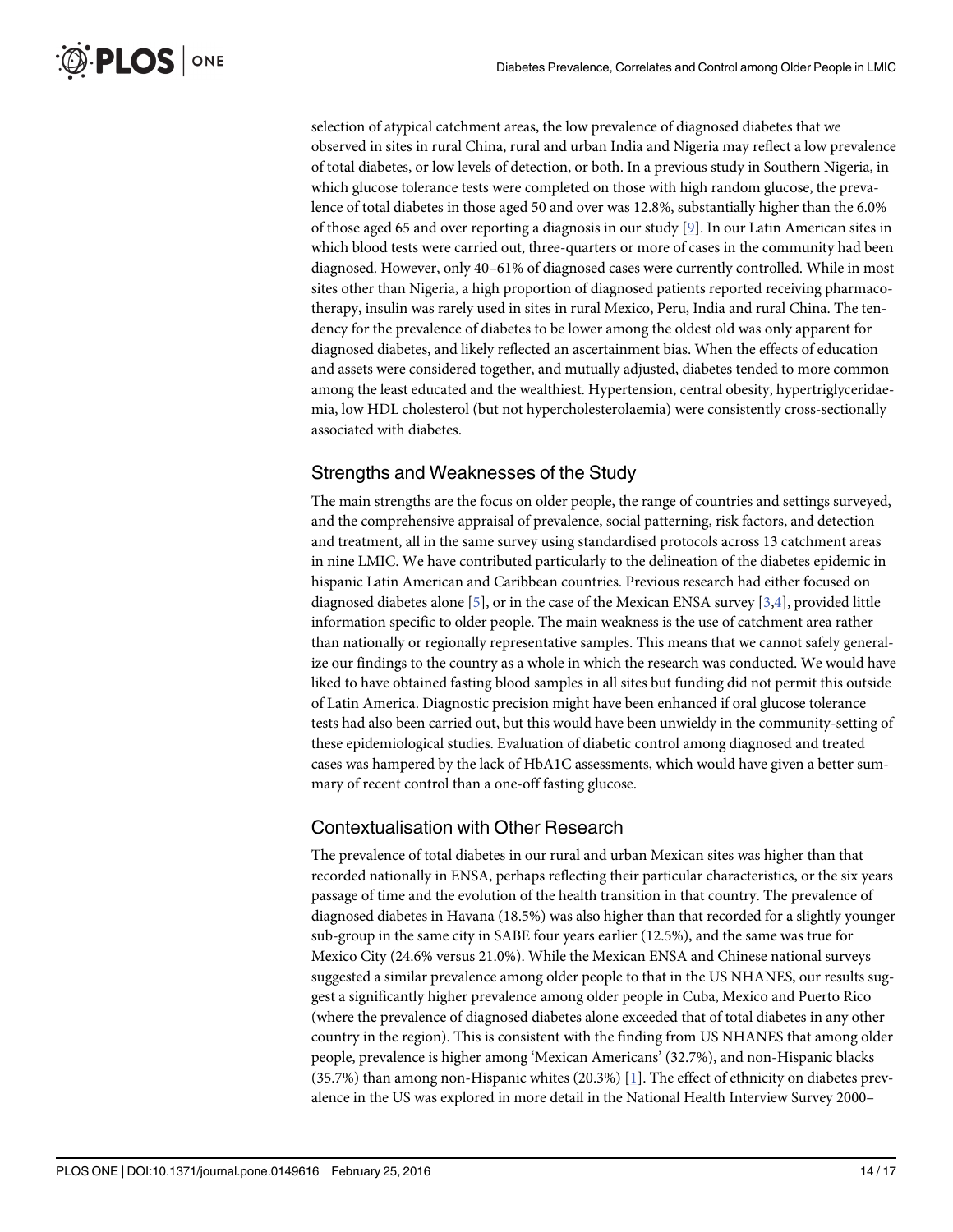<span id="page-13-0"></span>selection of atypical catchment areas, the low prevalence of diagnosed diabetes that we observed in sites in rural China, rural and urban India and Nigeria may reflect a low prevalence of total diabetes, or low levels of detection, or both. In a previous study in Southern Nigeria, in which glucose tolerance tests were completed on those with high random glucose, the prevalence of total diabetes in those aged 50 and over was 12.8%, substantially higher than the 6.0% of those aged 65 and over reporting a diagnosis in our study [[9\]](#page-16-0). In our Latin American sites in which blood tests were carried out, three-quarters or more of cases in the community had been diagnosed. However, only 40–61% of diagnosed cases were currently controlled. While in most sites other than Nigeria, a high proportion of diagnosed patients reported receiving pharmacotherapy, insulin was rarely used in sites in rural Mexico, Peru, India and rural China. The tendency for the prevalence of diabetes to be lower among the oldest old was only apparent for diagnosed diabetes, and likely reflected an ascertainment bias. When the effects of education and assets were considered together, and mutually adjusted, diabetes tended to more common among the least educated and the wealthiest. Hypertension, central obesity, hypertriglyceridaemia, low HDL cholesterol (but not hypercholesterolaemia) were consistently cross-sectionally associated with diabetes.

### Strengths and Weaknesses of the Study

The main strengths are the focus on older people, the range of countries and settings surveyed, and the comprehensive appraisal of prevalence, social patterning, risk factors, and detection and treatment, all in the same survey using standardised protocols across 13 catchment areas in nine LMIC. We have contributed particularly to the delineation of the diabetes epidemic in hispanic Latin American and Caribbean countries. Previous research had either focused on diagnosed diabetes alone  $[5]$  $[5]$ , or in the case of the Mexican ENSA survey  $[3,4]$  $[3,4]$  $[3,4]$  $[3,4]$  $[3,4]$ , provided little information specific to older people. The main weakness is the use of catchment area rather than nationally or regionally representative samples. This means that we cannot safely generalize our findings to the country as a whole in which the research was conducted. We would have liked to have obtained fasting blood samples in all sites but funding did not permit this outside of Latin America. Diagnostic precision might have been enhanced if oral glucose tolerance tests had also been carried out, but this would have been unwieldy in the community-setting of these epidemiological studies. Evaluation of diabetic control among diagnosed and treated cases was hampered by the lack of HbA1C assessments, which would have given a better summary of recent control than a one-off fasting glucose.

### Contextualisation with Other Research

The prevalence of total diabetes in our rural and urban Mexican sites was higher than that recorded nationally in ENSA, perhaps reflecting their particular characteristics, or the six years passage of time and the evolution of the health transition in that country. The prevalence of diagnosed diabetes in Havana (18.5%) was also higher than that recorded for a slightly younger sub-group in the same city in SABE four years earlier (12.5%), and the same was true for Mexico City (24.6% versus 21.0%). While the Mexican ENSA and Chinese national surveys suggested a similar prevalence among older people to that in the US NHANES, our results suggest a significantly higher prevalence among older people in Cuba, Mexico and Puerto Rico (where the prevalence of diagnosed diabetes alone exceeded that of total diabetes in any other country in the region). This is consistent with the finding from US NHANES that among older people, prevalence is higher among 'Mexican Americans' (32.7%), and non-Hispanic blacks (35.7%) than among non-Hispanic whites (20.3%) [[1\]](#page-15-0). The effect of ethnicity on diabetes prevalence in the US was explored in more detail in the National Health Interview Survey 2000–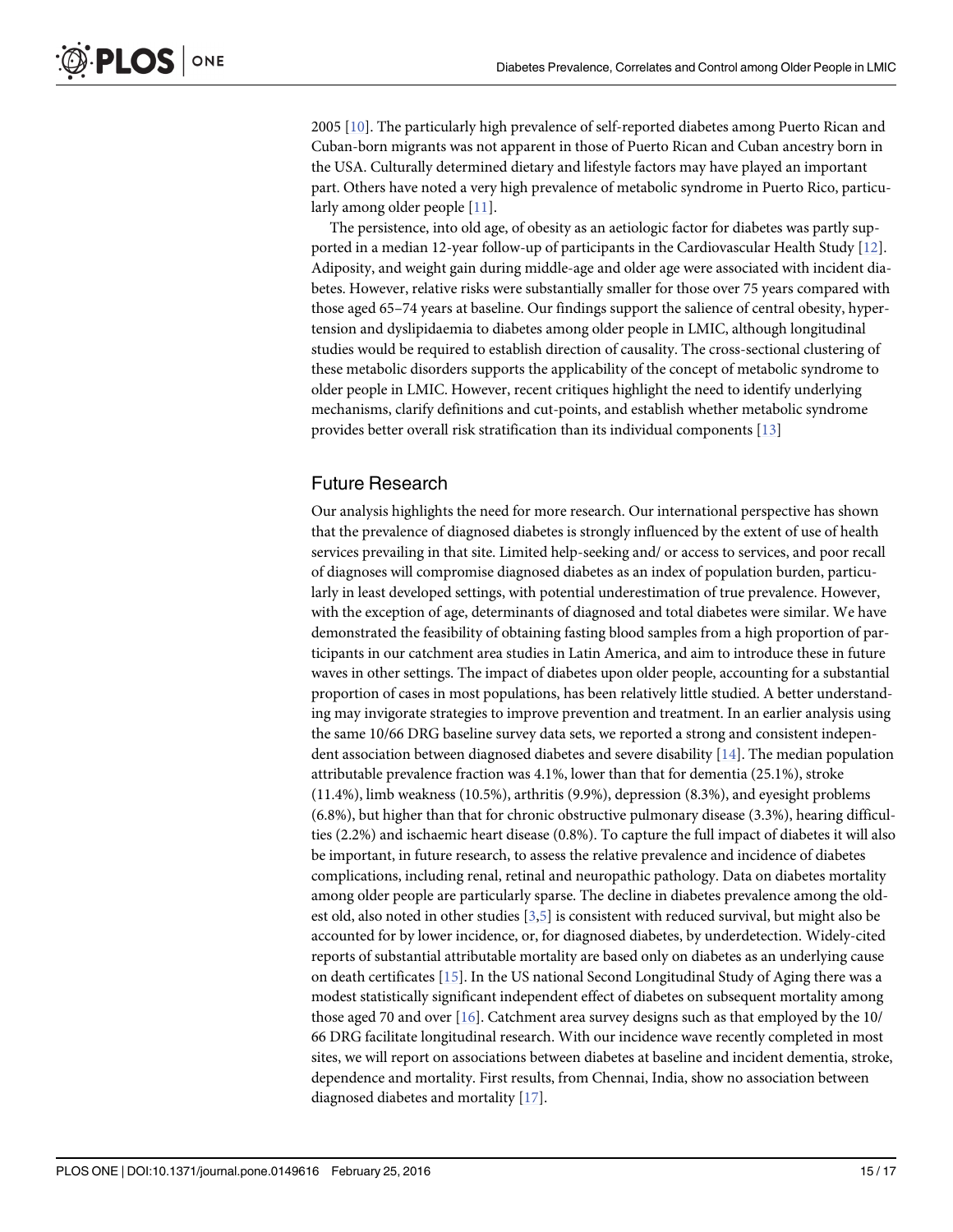<span id="page-14-0"></span>2005 [[10](#page-16-0)]. The particularly high prevalence of self-reported diabetes among Puerto Rican and Cuban-born migrants was not apparent in those of Puerto Rican and Cuban ancestry born in the USA. Culturally determined dietary and lifestyle factors may have played an important part. Others have noted a very high prevalence of metabolic syndrome in Puerto Rico, particularly among older people [\[11\]](#page-16-0).

The persistence, into old age, of obesity as an aetiologic factor for diabetes was partly supported in a median 12-year follow-up of participants in the Cardiovascular Health Study [[12](#page-16-0)]. Adiposity, and weight gain during middle-age and older age were associated with incident diabetes. However, relative risks were substantially smaller for those over 75 years compared with those aged 65–74 years at baseline. Our findings support the salience of central obesity, hypertension and dyslipidaemia to diabetes among older people in LMIC, although longitudinal studies would be required to establish direction of causality. The cross-sectional clustering of these metabolic disorders supports the applicability of the concept of metabolic syndrome to older people in LMIC. However, recent critiques highlight the need to identify underlying mechanisms, clarify definitions and cut-points, and establish whether metabolic syndrome provides better overall risk stratification than its individual components [\[13](#page-16-0)]

#### Future Research

Our analysis highlights the need for more research. Our international perspective has shown that the prevalence of diagnosed diabetes is strongly influenced by the extent of use of health services prevailing in that site. Limited help-seeking and/ or access to services, and poor recall of diagnoses will compromise diagnosed diabetes as an index of population burden, particularly in least developed settings, with potential underestimation of true prevalence. However, with the exception of age, determinants of diagnosed and total diabetes were similar. We have demonstrated the feasibility of obtaining fasting blood samples from a high proportion of participants in our catchment area studies in Latin America, and aim to introduce these in future waves in other settings. The impact of diabetes upon older people, accounting for a substantial proportion of cases in most populations, has been relatively little studied. A better understanding may invigorate strategies to improve prevention and treatment. In an earlier analysis using the same 10/66 DRG baseline survey data sets, we reported a strong and consistent independent association between diagnosed diabetes and severe disability [[14](#page-16-0)]. The median population attributable prevalence fraction was 4.1%, lower than that for dementia (25.1%), stroke (11.4%), limb weakness (10.5%), arthritis (9.9%), depression (8.3%), and eyesight problems (6.8%), but higher than that for chronic obstructive pulmonary disease (3.3%), hearing difficulties (2.2%) and ischaemic heart disease (0.8%). To capture the full impact of diabetes it will also be important, in future research, to assess the relative prevalence and incidence of diabetes complications, including renal, retinal and neuropathic pathology. Data on diabetes mortality among older people are particularly sparse. The decline in diabetes prevalence among the oldest old, also noted in other studies [[3](#page-15-0),[5](#page-15-0)] is consistent with reduced survival, but might also be accounted for by lower incidence, or, for diagnosed diabetes, by underdetection. Widely-cited reports of substantial attributable mortality are based only on diabetes as an underlying cause on death certificates [\[15\]](#page-16-0). In the US national Second Longitudinal Study of Aging there was a modest statistically significant independent effect of diabetes on subsequent mortality among those aged 70 and over  $[16]$  $[16]$ . Catchment area survey designs such as that employed by the 10/ 66 DRG facilitate longitudinal research. With our incidence wave recently completed in most sites, we will report on associations between diabetes at baseline and incident dementia, stroke, dependence and mortality. First results, from Chennai, India, show no association between diagnosed diabetes and mortality [[17](#page-16-0)].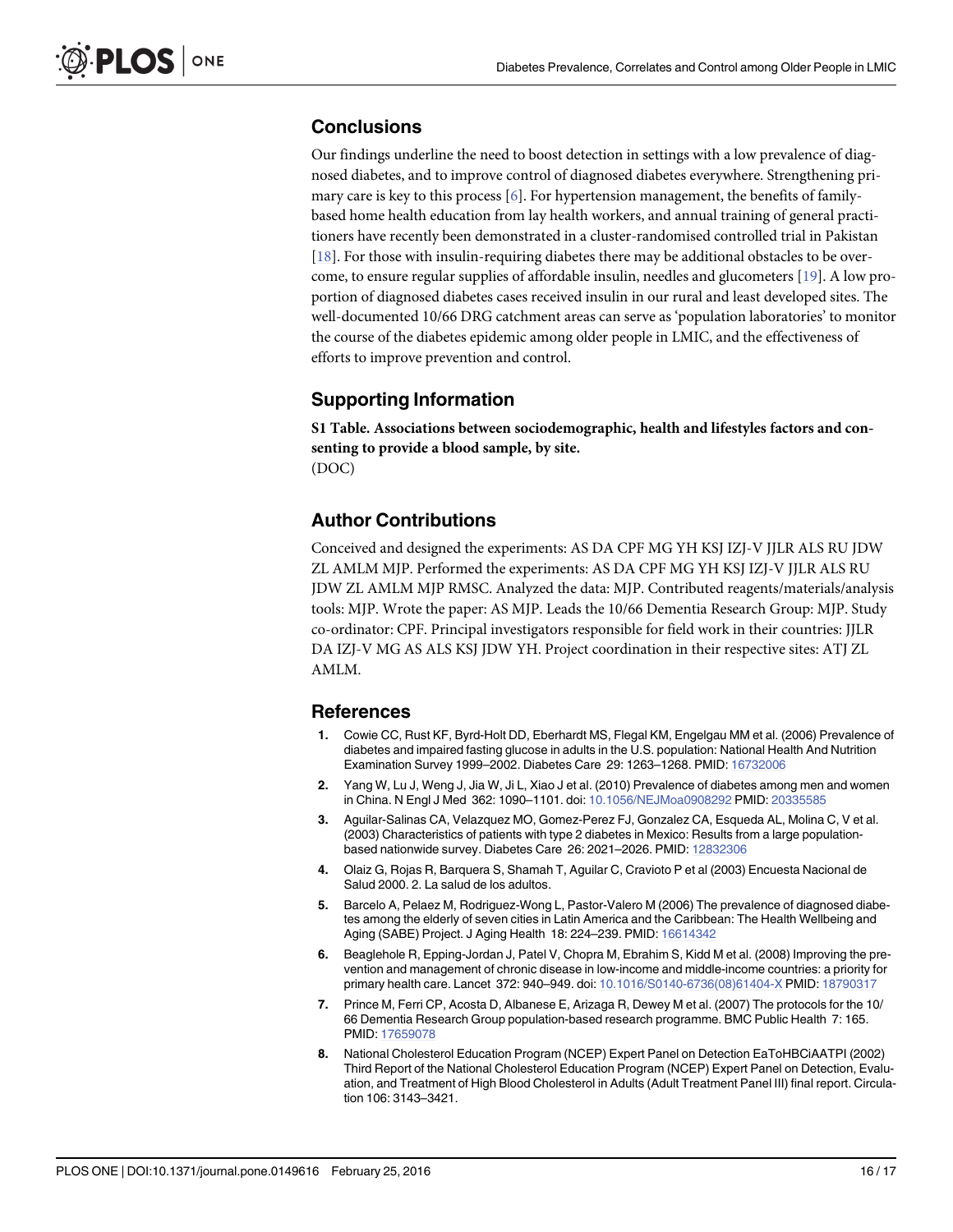# <span id="page-15-0"></span>**Conclusions**

Our findings underline the need to boost detection in settings with a low prevalence of diagnosed diabetes, and to improve control of diagnosed diabetes everywhere. Strengthening primary care is key to this process  $[6]$ . For hypertension management, the benefits of familybased home health education from lay health workers, and annual training of general practitioners have recently been demonstrated in a cluster-randomised controlled trial in Pakistan [\[18](#page-16-0)]. For those with insulin-requiring diabetes there may be additional obstacles to be overcome, to ensure regular supplies of affordable insulin, needles and glucometers [[19](#page-16-0)]. A low proportion of diagnosed diabetes cases received insulin in our rural and least developed sites. The well-documented 10/66 DRG catchment areas can serve as 'population laboratories' to monitor the course of the diabetes epidemic among older people in LMIC, and the effectiveness of efforts to improve prevention and control.

# Supporting Information

[S1 Table](http://www.plosone.org/article/fetchSingleRepresentation.action?uri=info:doi/10.1371/journal.pone.0149616.s001). Associations between sociodemographic, health and lifestyles factors and consenting to provide a blood sample, by site. (DOC)

# Author Contributions

Conceived and designed the experiments: AS DA CPF MG YH KSJ IZJ-V JJLR ALS RU JDW ZL AMLM MJP. Performed the experiments: AS DA CPF MG YH KSJ IZJ-V JJLR ALS RU JDW ZL AMLM MJP RMSC. Analyzed the data: MJP. Contributed reagents/materials/analysis tools: MJP. Wrote the paper: AS MJP. Leads the 10/66 Dementia Research Group: MJP. Study co-ordinator: CPF. Principal investigators responsible for field work in their countries: JJLR DA IZJ-V MG AS ALS KSJ JDW YH. Project coordination in their respective sites: ATJ ZL AMLM.

# References

- [1.](#page-1-0) Cowie CC, Rust KF, Byrd-Holt DD, Eberhardt MS, Flegal KM, Engelgau MM et al. (2006) Prevalence of diabetes and impaired fasting glucose in adults in the U.S. population: National Health And Nutrition Examination Survey 1999–2002. Diabetes Care 29: 1263–1268. PMID: [16732006](http://www.ncbi.nlm.nih.gov/pubmed/16732006)
- [2.](#page-1-0) Yang W, Lu J, Weng J, Jia W, Ji L, Xiao J et al. (2010) Prevalence of diabetes among men and women in China. N Engl J Med 362: 1090–1101. doi: [10.1056/NEJMoa0908292](http://dx.doi.org/10.1056/NEJMoa0908292) PMID: [20335585](http://www.ncbi.nlm.nih.gov/pubmed/20335585)
- [3.](#page-1-0) Aguilar-Salinas CA, Velazquez MO, Gomez-Perez FJ, Gonzalez CA, Esqueda AL, Molina C, V et al. (2003) Characteristics of patients with type 2 diabetes in Mexico: Results from a large populationbased nationwide survey. Diabetes Care 26: 2021–2026. PMID: [12832306](http://www.ncbi.nlm.nih.gov/pubmed/12832306)
- [4.](#page-1-0) Olaiz G, Rojas R, Barquera S, Shamah T, Aguilar C, Cravioto P et al (2003) Encuesta Nacional de Salud 2000. 2. La salud de los adultos.
- [5.](#page-1-0) Barcelo A, Pelaez M, Rodriguez-Wong L, Pastor-Valero M (2006) The prevalence of diagnosed diabetes among the elderly of seven cities in Latin America and the Caribbean: The Health Wellbeing and Aging (SABE) Project. J Aging Health 18: 224–239. PMID: [16614342](http://www.ncbi.nlm.nih.gov/pubmed/16614342)
- [6.](#page-2-0) Beaglehole R, Epping-Jordan J, Patel V, Chopra M, Ebrahim S, Kidd M et al. (2008) Improving the prevention and management of chronic disease in low-income and middle-income countries: a priority for primary health care. Lancet 372: 940–949. doi: [10.1016/S0140-6736\(08\)61404-X](http://dx.doi.org/10.1016/S0140-6736(08)61404-X) PMID: [18790317](http://www.ncbi.nlm.nih.gov/pubmed/18790317)
- [7.](#page-2-0) Prince M, Ferri CP, Acosta D, Albanese E, Arizaga R, Dewey M et al. (2007) The protocols for the 10/ 66 Dementia Research Group population-based research programme. BMC Public Health 7: 165. PMID: [17659078](http://www.ncbi.nlm.nih.gov/pubmed/17659078)
- [8.](#page-3-0) National Cholesterol Education Program (NCEP) Expert Panel on Detection EaToHBCiAATPI (2002) Third Report of the National Cholesterol Education Program (NCEP) Expert Panel on Detection, Evaluation, and Treatment of High Blood Cholesterol in Adults (Adult Treatment Panel III) final report. Circulation 106: 3143–3421.